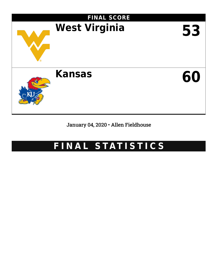

January 04, 2020 • Allen Fieldhouse

# **F I N A L S TAT I S T I C S**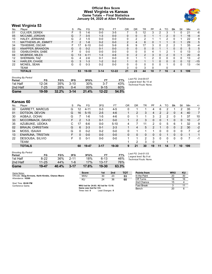#### **Official Box Score West Virginia vs Kansas Game Totals -- Final Statistics January 04, 2020 at Allen Fieldhouse**



# **West Virginia 53**

| No. | Plaver                      | S  | Pts          | FG       | 3FG      | FT.       | 0 <sub>R</sub> | DR            | TR | PF | A            | TO            | Blk      | Stl      | Min | $+/-$ |
|-----|-----------------------------|----|--------------|----------|----------|-----------|----------------|---------------|----|----|--------------|---------------|----------|----------|-----|-------|
| 01  | <b>CULVER, DEREK</b>        | F. | 5            | $1-6$    | $0-0$    | $3-5$     |                | 5             | 12 | 3  |              | 3             |          |          | 21  | -6    |
| 05  | MCCABE, JORDAN              | G  |              | $3 - 5$  | $1 - 3$  | $0-0$     | 0              | $\Omega$      |    |    |              | $\mathcal{P}$ | $\Omega$ |          | 16  | $-4$  |
| 10  | HALEY, JERMAINE             | G  |              | $1 - 5$  | $0-0$    | $0-0$     | 0              | 2             |    |    |              | 2             | 0        |          | 22  | 9     |
| 11  | <b>MATTHEWS JR., EMMITT</b> | F. | 2            | $1 - 8$  | $0 - 2$  | $0-0$     | $\overline{2}$ | 4             | 6  | 0  |              |               | 0        |          | 29  | 5     |
| 34  | TSHIEBWE, OSCAR             | F. | 17           | $6 - 10$ | $0-0$    | $5-9$     | 8              | 9             | 17 | 3  |              | 2             | 2        |          | 35  | -4    |
| 02  | <b>KNAPPER, BRANDON</b>     | G  | $\Omega$     | $0 - 2$  | $0 - 1$  | $0-0$     | 0              |               |    | 0  |              |               | 0        | 0        | 5   | 5     |
| 03  | OSABUOHIEN, GABE            | F  | 0            | $0-0$    | $0-0$    | $0-0$     | 0              | 0             |    | 4  |              | 2             |          | 0        | 13  | $-3$  |
| 04  | MCBRIDE, MILES              | G  | 13           | $4 - 11$ | $1 - 3$  | $4-6$     | 0              | $\mathcal{P}$ |    | 3  | <sup>0</sup> | $\mathcal{P}$ | 0        |          | 20  | -6    |
| 12  | SHERMAN, TAZ                | G  | 4            | $2 - 6$  | $0 - 1$  | $0-0$     | 0              |               |    | C  |              | O             | 0        | 0        | 13  | $-2$  |
| 14  | <b>HARLER, CHASE</b>        | G  | 3            | $1 - 3$  | $1 - 2$  | $0 - 2$   |                | $\Omega$      |    |    | <sup>0</sup> | $\Omega$      | $\Omega$ | $\Omega$ | 12  | $-15$ |
| 22  | MCNEIL, SEAN                | G  | $\mathbf{0}$ | $0 - 3$  | $0 - 2$  | $0-0$     | 0              |               |    | 0  |              |               | 0        | 0        | 13  | $-14$ |
|     | TEAM                        |    |              |          |          |           | 3              |               | 3  | 0  |              |               |          |          |     |       |
|     | <b>TOTALS</b>               |    | 53           | 19-59    | $3 - 14$ | $12 - 22$ | 21             | 23            | 44 | 18 |              | 16            | 4        | 5        | 199 |       |
|     |                             |    |              |          |          |           |                |               |    |    |              |               |          |          |     |       |

| Game                                | 19-59 | $32.2\%$   | $3 - 14$ | 21.4%  | $12 - 22$ | 54.5% |                                              |
|-------------------------------------|-------|------------|----------|--------|-----------|-------|----------------------------------------------|
| 2nd Half                            | 7-25  | <b>28%</b> | $0 - 4$  | $00\%$ | $9 - 15$  | 60%   |                                              |
| 1st Half                            | 12-34 | 35%        | $3-10$   | 30%    | $3 - 7$   | 43%   | Technical Fouls: None.                       |
| <b>Shooting By Period</b><br>Period | FG    | FG%        | 3FG      | 3FG%   | FT        | FT%   | Last FG: 2nd-00:07<br>Largest lead: By 10 at |

### **Kansas 60**

| No. | Plaver                  | S  | Pts | FG       | 3FG      | <b>FT</b> | OR | DR            | TR | PF            | A  | TΟ | Blk      | Stl           | Min | $+/-$          |
|-----|-------------------------|----|-----|----------|----------|-----------|----|---------------|----|---------------|----|----|----------|---------------|-----|----------------|
| 00  | <b>GARRETT, MARCUS</b>  | G  | 12  | 4-11     | $0 - 3$  | 4-5       | 0  |               |    |               | 6  | 2  |          | 2             | 35  |                |
| 01  | DOTSON, DEVON           | G  | 16  | $5 - 15$ | $2-5$    | $4-6$     |    | 2             | 3  | 4             |    | 2  | 0        | 4             | 40  | $\overline{7}$ |
| 30  | AGBAJI, OCHAI           | G  |     | 1-6      | $1-5$    | 4-6       | 0  |               |    | 3             |    | 2  |          |               | 37  | 10             |
| 33  | MCCORMACK, DAVID        | F. | 2   | $1 - 3$  | $0 - 1$  | $0-0$     |    | $\mathcal{P}$ | 3  | 0             |    |    | 0        | $\Omega$      | 10  | $-7$           |
| 35  | AZUBUIKE, UDOKA         | C. |     | $6-6$    | $0-0$    | $5 - 10$  | 4  |               |    | 2             |    | 5  | 6        |               | 32  | 9              |
| 02  | <b>BRAUN, CHRISTIAN</b> | G  | 6   | $2 - 3$  | $0 - 1$  | $2-3$     |    | 4             | 5  | $\mathcal{P}$ |    | 0  | 0        | $\mathcal{P}$ | 30  | $-2$           |
| 04  | MOSS, ISAIAH            | G  | U   | $0 - 2$  | $0 - 2$  | $0 - 0$   | 0  |               |    |               |    |    |          |               |     | $-2$           |
| 13  | <b>ENARUNA, TRISTAN</b> | F. | U   | $0-0$    | $0-0$    | $0-0$     | 0  | 0             |    | 0             |    |    | $\Omega$ | $\Omega$      |     | $\mathbf 1$    |
| 22  | DESOUSA, SILVIO         | F  |     | $0 - 1$  | $0-0$    | $0-0$     |    |               | っ  | 3             |    | 0  |          |               |     | -1             |
|     | TEAM                    |    |     |          |          |           |    | っ             | 3  | 0             |    |    |          |               |     |                |
|     | <b>TOTALS</b>           |    | 60  | 19-47    | $3 - 17$ | 19-30     | 9  | 21            | 30 | 19            | 11 | 14 |          | 10            | 199 |                |
|     |                         |    |     |          |          |           |    |               |    |               |    |    |          |               |     |                |

| <b>Shooting By Period</b> |           |       |          |       |           |       |               |
|---------------------------|-----------|-------|----------|-------|-----------|-------|---------------|
| Period                    | FG        | FG%   | 3FG      | 3FG%  | FT        | FT%   | Last          |
| 1st Half                  | $8-22$    | 36%   | $2 - 11$ | 18%   | $6 - 13$  | 46%   | _arge<br>Tech |
| 2nd Half                  | $11 - 25$ | 44%   | 1-6      | 17%   | $13 - 17$ | 76%   |               |
| Game                      | 19-47     | 40.4% | $3 - 17$ | 17.6% | 19-30     | 63.3% |               |

*Last FG:* 2nd-01:03 *Largest lead:* By 9 at *Technical Fouls:* None.

| Game Notes:                                         | <b>Score</b>                            | 1st             | 2 <sub>nd</sub> | ТОТ | Points from  | <b>WVU</b> | KU |
|-----------------------------------------------------|-----------------------------------------|-----------------|-----------------|-----|--------------|------------|----|
| Officials: Doug Sirmons, Keith Kimble, Chance Moore | <b>WVU</b>                              | 30              | 23              | 53  | In the Paint | 20         | 30 |
| Attendance: 16300                                   | KU                                      | 24              | 36              | 60  | Off Turns    |            | 16 |
| Start Time: 09:00 PM                                |                                         |                 |                 |     | 2nd Chance   |            |    |
| Conference Game:                                    | WVU led for 24:03. KU led for 13:18.    |                 |                 |     | Fast Break   |            |    |
|                                                     | Game was tied for 0:0.<br>Times tied: 0 | Lead Changes: 0 |                 |     | Bench        | 20         |    |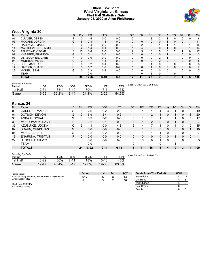#### **Official Box Score West Virginia vs Kansas First Half Statistics Only January 04, 2020 at Allen Fieldhouse**



# **West Virginia 30**

| No. | Plaver                      | S  | Pts          | FG        | 3FG      | <b>FT</b> | <b>OR</b> | <b>DR</b> | TR           | PF            | A        | TO       | <b>B</b> <sup>k</sup> | Stl      | Min            |
|-----|-----------------------------|----|--------------|-----------|----------|-----------|-----------|-----------|--------------|---------------|----------|----------|-----------------------|----------|----------------|
| 01  | <b>CULVER, DEREK</b>        |    |              | $1-5$     | 0-0      | $0-0$     | າ         |           |              | ◠             |          |          |                       |          | 6              |
| 05  | MCCABE, JORDAN              | G  | 5.           | $2 - 4$   | $1 - 3$  | $0-0$     | 0         | 0         | 0            | 0             |          | $\Omega$ | 0                     |          | 11             |
| 10  | HALEY, JERMAINE             | G  | 0            | $0 - 4$   | $0 - 0$  | $0-0$     | 0         | 2         |              |               |          |          |                       |          | 15             |
| 11  | <b>MATTHEWS JR., EMMITT</b> |    |              | $1 - 4$   | $0 - 1$  | $0-0$     |           | 4         | 5            | $\Omega$      |          | 0        | 0                     |          | 14             |
| 34  | TSHIEBWE, OSCAR             | F. | 15           | $6 - 8$   | $0-0$    | $3-5$     |           | 3         | 10           | 0             | 0        | 2        |                       | 0        | 17             |
| 02  | KNAPPER, BRANDON            | G  | $\Omega$     | $0 - 1$   | $0-0$    | $0-0$     | 0         | $\Omega$  | $\Omega$     | $\Omega$      |          |          | 0                     | $\Omega$ | 3              |
| 03  | OSABUOHIEN, GABE            |    |              | $0 - 0$   | 0-0      | $0-0$     | 0         | 0         |              | 2             |          |          |                       | $\Omega$ |                |
| 04  | MCBRIDE, MILES              | G  | 3            | $1 - 1$   | $1 - 1$  | $0-0$     | 0         | $\Omega$  | $\Omega$     | $\mathcal{P}$ | $\Omega$ |          | 0                     | $\Omega$ | 5              |
| 12  | SHERMAN, TAZ                | G  | 0            | $0 - 2$   | $0 - 1$  | $0-0$     | 0         |           |              | 0             | 0        |          | 0                     | $\Omega$ | 8              |
| 14  | HARLER, CHASE               | G  | 3            | $1 - 2$   | $1 - 2$  | $0 - 2$   |           | $\Omega$  |              | $\Omega$      | $\Omega$ | $\Omega$ | 0                     | $\Omega$ | $\overline{7}$ |
| 22  | MCNEIL, SEAN                | G  | <sup>n</sup> | $0 - 3$   | $0 - 2$  | $0-0$     | 0         | 0         | <sup>n</sup> | 0             | 0        |          | <sup>n</sup>          | $\Omega$ |                |
|     | <b>TEAM</b>                 |    |              | $0 - 0$   |          |           |           |           |              |               |          |          |                       |          |                |
|     | <b>TOTALS</b>               |    | 30           | $12 - 34$ | $3 - 10$ | $3 - 7$   | 12        | 11        | 23           |               | 6        |          |                       | 3        | 100            |

| <b>Shooting By Period</b> |
|---------------------------|
|                           |

| Shooting By Period<br>Period | FG    | FG%   | 3FG      | 3FG%  |           | FT%   | Last FG Half: WVU 2nd-00:07 |
|------------------------------|-------|-------|----------|-------|-----------|-------|-----------------------------|
| 1st Half                     | 12-34 | 35%   | $3 - 10$ | 30%   |           | 43%   |                             |
| Game                         | 19-59 | 32.2% | $3 - 14$ | 21.4% | $12 - 22$ | 54.5% |                             |

## **Kansas 24**

| No. | Player                  | S  | Pts      | FG       | 3FG      | <b>FT</b> | <b>OR</b> | <b>DR</b> | TR       | PF       | A            | TO | <b>B</b> lk | Stl            | Min            |
|-----|-------------------------|----|----------|----------|----------|-----------|-----------|-----------|----------|----------|--------------|----|-------------|----------------|----------------|
| 00  | <b>GARRETT, MARCUS</b>  | G  | 6        | 2-6      | $0 - 2$  | $2 - 3$   | 0         |           |          |          |              |    | $\Omega$    | 0              | 19             |
| 01  | DOTSON, DEVON           | G  | 12       | $5-9$    | $2 - 4$  | $0 - 2$   |           |           | 2        |          | 0            |    | 0           | 3              | 20             |
| 30  | AGBAJI, OCHAI           | G  | 0        | $0 - 2$  | $0 - 2$  | $0-0$     |           |           |          |          |              |    |             | 0              | 17             |
| 33  | MCCORMACK, DAVID        | F. | 0        | $0 - 2$  | $0 - 1$  | $0-0$     |           |           | 2        | $\Omega$ | 0            |    | 0           | $\overline{0}$ | $\overline{7}$ |
| 35  | AZUBUIKE, UDOKA         | С  | 6        | $1 - 1$  | $0-0$    | $4 - 8$   | 3         | 4         |          |          |              | 4  | 3           | 0              | 15             |
| 02  | <b>BRAUN, CHRISTIAN</b> | G  | $\Omega$ | $0 - 0$  | $0-0$    | $0-0$     | $\Omega$  |           |          | 0        | $\Omega$     | 0  | $\Omega$    |                | 10             |
| 04  | MOSS, ISAIAH            | G  | 0        | $0 - 2$  | $0 - 2$  | $0-0$     | $\Omega$  |           |          |          |              |    |             | $\Omega$       |                |
| 13  | <b>ENARUNA, TRISTAN</b> | F. | 0        | $0 - 0$  | $0-0$    | $0-0$     | 0         | $\Omega$  | 0        | 0        | $\Omega$     |    | $\Omega$    | $\Omega$       | 1              |
| 22  | DESOUSA, SILVIO         | F  | 0        | $0 - 0$  | $0-0$    | $0-0$     | 0         | 0         | $\Omega$ |          | <sup>0</sup> |    | $\Omega$    | 0              | 3              |
|     | TEAM                    |    |          | $0-0$    |          |           | 0         |           |          |          |              |    |             |                |                |
|     | <b>TOTALS</b>           |    | 24       | $8 - 22$ | $2 - 11$ | $6 - 13$  | 5         | 11        | 16       | 6        | 4            | 10 | 3           | 4              | 100            |
|     |                         |    |          |          |          |           |           |           |          |          |              |    |             |                |                |

| <b>Shooting By Period</b><br>Period | FG    | FG%   | 3FG      | 3FG%  | FТ       | FT%   | Las |
|-------------------------------------|-------|-------|----------|-------|----------|-------|-----|
| 1st Half                            | 8-22  | 36%   | $2 - 11$ | 18%   | $6 - 13$ | 46%   |     |
| Game                                | 19-47 | 40.4% | $3 - 17$ | 17.6% | 19-30    | 63.3% |     |

*Last FG Half:* KU 2nd-01:03

| Game Notes:                                         | <b>Score</b> | 1st | 2nd | тот | <b>Points from (This Period)</b> | WVU KU |  |
|-----------------------------------------------------|--------------|-----|-----|-----|----------------------------------|--------|--|
| Officials: Doug Sirmons, Keith Kimble, Chance Moore | <b>WVU</b>   | 30  | 23  | 53  | In the Paint                     | 14     |  |
| Attendance: 16300                                   | ΚU           | 24  | 36  | 60  | Off Turns                        | 14     |  |
| Start Time: 09:00 PM                                |              |     |     |     | 2nd Chance                       | 10     |  |
| Conference Game:                                    |              |     |     |     | Fast Break                       |        |  |
|                                                     |              |     |     |     | Bench                            |        |  |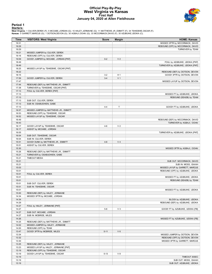#### **Official Play-By-Play West Virginia vs Kansas First Half January 04, 2020 at Allen Fieldhouse**



# **Period 1**

<mark>Starters<u>:</u></u><br>West Virginia: 1 CULVER,DEREK (F); 5 MCCABE,JORDAN (G); 10 HALEY,JERMAINE (G); 11 MATTHEWS JR.,EMMITT (F); 34 TSHIEBWE,OSCAR (F);<br>**Kansas**: 0 GARRETT,MARCUS (G); 1 DOTSON,DEVON (G); 30 AGBAJI,OCHAI (G); 33 MC</mark>

| <b>Time</b>    | <b>VISITORS: West Virginia</b>                             | <b>Score</b> | <b>Margin</b>  | <b>HOME: Kansas</b>                    |
|----------------|------------------------------------------------------------|--------------|----------------|----------------------------------------|
| 19:31          |                                                            |              |                | MISSED 3PTR by MCCORMACK, DAVID        |
| 19:29          |                                                            |              |                | REBOUND (OFF) by MCCORMACK, DAVID      |
| 19:29          |                                                            |              |                | TURNOVER by TEAM                       |
| 19:21          | MISSED JUMPER by CULVER, DEREK                             |              |                |                                        |
| 19:16          | REBOUND (OFF) by CULVER, DEREK                             |              |                |                                        |
| 19:09          | GOOD! JUMPER by MCCABE, JORDAN [PNT]                       | $0 - 2$      | V <sub>2</sub> |                                        |
| 18:49          |                                                            |              |                | FOUL by AZUBUIKE, UDOKA [PNT]          |
| 18:49          |                                                            |              |                | TURNOVER by AZUBUIKE, UDOKA [PNT]      |
| 18:25<br>18:22 | MISSED LAYUP by TSHIEBWE, OSCAR [PNT]                      |              |                | REBOUND (DEF) by DOTSON, DEVON         |
| 18:15          |                                                            | $3 - 2$      | H <sub>1</sub> | GOOD! 3PTR by DOTSON, DEVON            |
| 17:59          | GOOD! JUMPER by CULVER, DEREK                              | $3 - 4$      | V <sub>1</sub> |                                        |
| 17:47          |                                                            |              |                | MISSED LAYUP by DOTSON, DEVON          |
| 17:44          | REBOUND (DEF) by MATTHEWS JR., EMMITT                      |              |                |                                        |
| 17:38          | TURNOVER by TSHIEBWE, OSCAR [PNT]                          |              |                |                                        |
| 17:13          | FOUL by CULVER, DEREK [PNT]                                |              |                |                                        |
| 17:13          |                                                            |              |                | MISSED FT by AZUBUIKE, UDOKA           |
| 17:13          |                                                            |              |                | REBOUND (DEADB) by TEAM                |
| 17:13          | SUB OUT: CULVER, DEREK                                     |              |                |                                        |
| 17:13          | SUB IN: OSABUOHIEN, GABE                                   |              |                |                                        |
| 17:13          |                                                            | $4 - 4$      | T              | GOOD! FT by AZUBUIKE, UDOKA            |
| 16:57          | MISSED JUMPER by MATTHEWS JR., EMMITT                      |              |                |                                        |
| 16:53          | REBOUND (OFF) by TSHIEBWE, OSCAR                           |              |                |                                        |
| 16:52          | MISSED LAYUP by TSHIEBWE, OSCAR                            |              |                |                                        |
| 16:49          |                                                            |              |                | REBOUND (DEF) by MCCORMACK, DAVID      |
| 16:43          |                                                            |              |                | TURNOVER by AGBAJI, OCHAI              |
| 16:17<br>16:17 | GOOD! LAYUP by TSHIEBWE, OSCAR<br>ASSIST by MCCABE, JORDAN | $4 - 6$      | V <sub>2</sub> |                                        |
| 16:05          |                                                            |              |                | TURNOVER by AZUBUIKE, UDOKA [PNT]      |
| 16:04          | SUB OUT: TSHIEBWE, OSCAR                                   |              |                |                                        |
| 16:04          | SUB IN: CULVER, DEREK                                      |              |                |                                        |
| 15:51          | GOOD! DUNK by MATTHEWS JR., EMMITT                         | $4 - 8$      | V <sub>4</sub> |                                        |
| 15:51          | ASSIST by CULVER, DEREK                                    |              |                |                                        |
| 15:30          |                                                            |              |                | MISSED 3PTR by AGBAJI, OCHAI           |
| 15:26          | REBOUND (DEF) by MATTHEWS JR., EMMITT                      |              |                |                                        |
| 15:21          | TURNOVER by OSABUOHIEN, GABE                               |              |                |                                        |
| 15:21          | <b>TIMEOUT MEDIA</b>                                       |              |                |                                        |
| 15:21          |                                                            |              |                | SUB OUT: MCCORMACK, DAVID              |
| 15:21          |                                                            |              |                | SUB IN: MOSS, ISAIAH                   |
| 15:03          |                                                            |              |                | MISSED LAYUP by GARRETT, MARCUS        |
| 15:01          |                                                            |              |                | REBOUND (OFF) by AZUBUIKE, UDOKA       |
| 15:01          | FOUL by CULVER, DEREK                                      |              |                |                                        |
| 15:01          |                                                            |              |                | MISSED FT by AZUBUIKE, UDOKA           |
| 15:01          |                                                            |              |                | REBOUND (DEADB) by TEAM                |
| 15:01<br>15:01 | SUB OUT: CULVER, DEREK<br>SUB IN: TSHIEBWE, OSCAR          |              |                |                                        |
| 15:01          |                                                            |              |                | MISSED FT by AZUBUIKE, UDOKA           |
| 15:00          | REBOUND (DEF) by HALEY, JERMAINE                           |              |                |                                        |
| 14:34          | MISSED 3PTR by MCCABE, JORDAN                              |              |                |                                        |
| 14:34          |                                                            |              |                | BLOCK by AZUBUIKE, UDOKA               |
| 14:29          |                                                            |              |                | REBOUND (DEF) by AZUBUIKE, UDOKA       |
| 14:27          | FOUL by HALEY, JERMAINE [PNT]                              |              |                |                                        |
| 14:27          |                                                            | $5 - 8$      | V <sub>3</sub> | GOOD! FT by AZUBUIKE, UDOKA [FB]       |
| 14:27          | SUB OUT: MCCABE, JORDAN                                    |              |                |                                        |
| 14:27          | SUB IN: MCBRIDE, MILES                                     |              |                |                                        |
| 14:26          |                                                            |              |                | MISSED FT by AZUBUIKE, UDOKA [FB]      |
| 14:25          | REBOUND (DEF) by MATTHEWS JR., EMMITT                      |              |                |                                        |
| 14:02          | MISSED JUMPER by HALEY, JERMAINE                           |              |                |                                        |
| 14:00          | REBOUND (OFF) by TEAM                                      |              |                |                                        |
| 13:47          | GOOD! 3PTR by MCBRIDE, MILES                               | $5 - 11$     | $V_6$          |                                        |
| 13:34          |                                                            |              |                | MISSED JUMPER by DOTSON, DEVON         |
| 13:32          |                                                            |              |                | REBOUND (OFF) by DOTSON, DEVON         |
| 13:30          |                                                            |              |                | MISSED 3PTR by GARRETT, MARCUS         |
| 13:25          | REBOUND (DEF) by HALEY, JERMAINE                           |              |                |                                        |
| 13:23          | MISSED LAYUP by HALEY, JERMAINE [PNT]                      |              |                |                                        |
| 13:19          | REBOUND (OFF) by TSHIEBWE, OSCAR                           |              |                |                                        |
| 13:19<br>13:19 | GOOD! LAYUP by TSHIEBWE, OSCAR                             | $5 - 13$     | $V_8$          |                                        |
| 13:19          |                                                            |              |                | TIMEOUT 30SEC<br>SUB OUT: MOSS, ISAIAH |
| 13:19          |                                                            |              |                | SUB OUT: AZUBUIKE, UDOKA               |
|                |                                                            |              |                |                                        |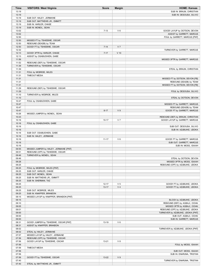| Time           | <b>VISITORS: West Virginia</b>                         | <b>Score</b> | <b>Margin</b>  | <b>HOME: Kansas</b>               |
|----------------|--------------------------------------------------------|--------------|----------------|-----------------------------------|
| 13:19          |                                                        |              |                | SUB IN: BRAUN, CHRISTIAN          |
| 13:19          |                                                        |              |                | SUB IN: DESOUSA, SILVIO           |
| 13:19          | SUB OUT: HALEY, JERMAINE                               |              |                |                                   |
| 13:19          | SUB OUT: MATTHEWS JR., EMMITT                          |              |                |                                   |
| 13:19          | SUB IN: HARLER, CHASE                                  |              |                |                                   |
| 13:19<br>13:02 | SUB IN: MCNEIL, SEAN                                   | $7 - 13$     | $V_6$          | GOOD! LAYUP by DOTSON, DEVON      |
| 13:02          |                                                        |              |                | ASSIST by GARRETT, MARCUS         |
| 12:50          |                                                        |              |                | FOUL by GARRETT, MARCUS [PNT]     |
| 12:50          | MISSED FT by TSHIEBWE, OSCAR                           |              |                |                                   |
| 12:50          | REBOUND (DEADB) by TEAM                                |              |                |                                   |
| 12:50          | GOOD! FT by TSHIEBWE, OSCAR                            | $7 - 14$     | V <sub>7</sub> |                                   |
| 12:32          |                                                        |              |                | TURNOVER by GARRETT, MARCUS       |
| 12:13          | GOOD! 3PTR by HARLER, CHASE                            | $7 - 17$     | $V$ 10         |                                   |
| 12:13          | ASSIST by OSABUOHIEN, GABE                             |              |                |                                   |
| 11:56          |                                                        |              |                | MISSED 3PTR by GARRETT, MARCUS    |
| 11:52          | REBOUND (DEF) by TSHIEBWE, OSCAR                       |              |                |                                   |
| 11:39          | TURNOVER by TSHIEBWE, OSCAR                            |              |                |                                   |
| 11:39          |                                                        |              |                | STEAL by BRAUN, CHRISTIAN         |
| 11:31          | FOUL by MCBRIDE, MILES                                 |              |                |                                   |
| 11:31<br>11:31 | <b>TIMEOUT MEDIA</b>                                   |              |                | MISSED FT by DOTSON, DEVON [FB]   |
| 11:31          |                                                        |              |                | REBOUND (DEADB) by TEAM           |
| 11:31          |                                                        |              |                | MISSED FT by DOTSON, DEVON [FB]   |
| 11:29          | REBOUND (DEF) by TSHIEBWE, OSCAR                       |              |                |                                   |
| 11:29          |                                                        |              |                | FOUL by DESOUSA, SILVIO           |
| 11:10          | TURNOVER by MCBRIDE, MILES                             |              |                |                                   |
| 11:10          |                                                        |              |                | STEAL by DOTSON, DEVON            |
| 10:47          | FOUL by OSABUOHIEN, GABE                               |              |                |                                   |
| 10:47          |                                                        |              |                | MISSED FT by GARRETT, MARCUS      |
| 10:47          |                                                        |              |                | REBOUND (DEADB) by TEAM           |
| 10:47          |                                                        | $8 - 17$     | V <sub>9</sub> | GOOD! FT by GARRETT, MARCUS       |
| 10:26          | MISSED JUMPER by MCNEIL, SEAN                          |              |                |                                   |
| 10:23          |                                                        |              |                | REBOUND (DEF) by BRAUN, CHRISTIAN |
| 10:16          |                                                        | $10 - 17$    | V <sub>7</sub> | GOOD! LAYUP by GARRETT, MARCUS    |
| 10:16<br>10:16 | FOUL by OSABUOHIEN, GABE                               |              |                | SUB OUT: DESOUSA, SILVIO          |
| 10:16          |                                                        |              |                | SUB IN: AZUBUIKE, UDOKA           |
| 10:16          | SUB OUT: OSABUOHIEN, GABE                              |              |                |                                   |
| 10:16          | SUB IN: HALEY, JERMAINE                                |              |                |                                   |
| 10:16          |                                                        | $11 - 17$    | $V_6$          | GOOD! FT by GARRETT, MARCUS       |
| 10:16          |                                                        |              |                | SUB OUT: GARRETT, MARCUS          |
| 10:16          |                                                        |              |                | SUB IN: MOSS, ISAIAH              |
| 09:55          | MISSED JUMPER by HALEY, JERMAINE [PNT]                 |              |                |                                   |
| 09:51          | REBOUND (OFF) by TSHIEBWE, OSCAR                       |              |                |                                   |
| 09:46          | TURNOVER by MCNEIL, SEAN                               |              |                |                                   |
| 09:46          |                                                        |              |                | STEAL by DOTSON, DEVON            |
| 09:28          |                                                        |              |                | MISSED 3PTR by MOSS, ISAIAH       |
| 09:25          |                                                        |              |                | REBOUND (OFF) by AZUBUIKE, UDOKA  |
| 09:25<br>09:25 | FOUL by MCBRIDE, MILES [PNT]<br>SUB OUT: HARLER, CHASE |              |                |                                   |
| 09:25          | SUB OUT: MCNEIL, SEAN                                  |              |                |                                   |
| 09:25          | SUB IN: MATTHEWS JR., EMMITT                           |              |                |                                   |
| 09:25          | SUB IN: SHERMAN, TAZ                                   |              |                |                                   |
| 09:25          |                                                        | $12 - 17$    | V <sub>5</sub> | GOOD! FT by AZUBUIKE, UDOKA       |
| 09:25          |                                                        | $13 - 17$    | V <sub>4</sub> | GOOD! FT by AZUBUIKE, UDOKA       |
| 09:25          | SUB OUT: MCBRIDE, MILES                                |              |                |                                   |
| 09:25          | SUB IN: KNAPPER, BRANDON                               |              |                |                                   |
| 09:15          | MISSED LAYUP by KNAPPER, BRANDON [PNT]                 |              |                |                                   |
| 09:15          |                                                        |              |                | BLOCK by AZUBUIKE, UDOKA          |
| 09:10          |                                                        |              |                | REBOUND (DEF) by AGBAJI, OCHAI    |
| 09:05          |                                                        |              |                | MISSED 3PTR by AGBAJI, OCHAI      |
| 09:01          |                                                        |              |                | REBOUND (OFF) by AZUBUIKE, UDOKA  |
| 09:00          |                                                        |              |                | TURNOVER by AZUBUIKE, UDOKA [PNT] |
| 09:00          |                                                        |              |                | SUB OUT: AGBAJI, OCHAI            |
| 09:00<br>08:31 | GOOD! JUMPER by TSHIEBWE, OSCAR [PNT]                  | 13-19        | $V_6$          | SUB IN: GARRETT, MARCUS           |
| 08:31          | ASSIST by KNAPPER, BRANDON                             |              |                |                                   |
| 08:02          |                                                        |              |                | TURNOVER by AZUBUIKE, UDOKA [PNT] |
| 08:02          | STEAL by HALEY, JERMAINE                               |              |                |                                   |
| 07:57          | MISSED LAYUP by HALEY, JERMAINE                        |              |                |                                   |
| 07:56          | REBOUND (OFF) by TSHIEBWE, OSCAR                       |              |                |                                   |
| 07:56          | GOOD! LAYUP by TSHIEBWE, OSCAR                         | 13-21        | V 8            |                                   |
| 07:56          |                                                        |              |                | FOUL by MOSS, ISAIAH              |
| 07:56          | <b>TIMEOUT MEDIA</b>                                   |              |                |                                   |
| 07:56          |                                                        |              |                | SUB OUT: MOSS, ISAIAH             |
| 07:56          |                                                        |              |                | SUB IN: ENARUNA, TRISTAN          |
| 07:56          | GOOD! FT by TSHIEBWE, OSCAR                            | 13-22        | V <sub>9</sub> |                                   |
| 07:40<br>07:40 |                                                        |              |                | TURNOVER by ENARUNA, TRISTAN      |
|                | STEAL by MATTHEWS JR., EMMITT                          |              |                |                                   |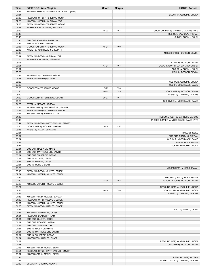| Time           | <b>VISITORS: West Virginia</b>                                       | <b>Score</b> | <b>Margin</b>  | <b>HOME: Kansas</b>                              |
|----------------|----------------------------------------------------------------------|--------------|----------------|--------------------------------------------------|
| 07:34          | MISSED LAYUP by MATTHEWS JR., EMMITT [PNT]                           |              |                |                                                  |
| 07:34<br>07:30 | REBOUND (OFF) by TSHIEBWE, OSCAR                                     |              |                | BLOCK by AZUBUIKE, UDOKA                         |
| 07:26          | MISSED JUMPER by SHERMAN, TAZ                                        |              |                |                                                  |
| 07:23          | REBOUND (OFF) by TSHIEBWE, OSCAR                                     |              |                |                                                  |
| 07:11          | TURNOVER by KNAPPER, BRANDON                                         |              |                |                                                  |
| 06:52          |                                                                      | 15-22        | V <sub>7</sub> | GOOD! JUMPER by GARRETT, MARCUS [PNT]            |
| 06:46          |                                                                      |              |                | SUB OUT: ENARUNA, TRISTAN                        |
| 06:46          |                                                                      |              |                | SUB IN: AGBAJI, OCHAI                            |
| 06:46          | SUB OUT: KNAPPER, BRANDON                                            |              |                |                                                  |
| 06:46<br>06:35 | SUB IN: MCCABE, JORDAN<br>GOOD! JUMPER by TSHIEBWE, OSCAR            | 15-24        | V <sub>9</sub> |                                                  |
| 06:35          | ASSIST by MATTHEWS JR., EMMITT                                       |              |                |                                                  |
| 06:18          |                                                                      |              |                | MISSED 3PTR by DOTSON, DEVON                     |
| 06:14          | REBOUND (DEF) by SHERMAN, TAZ                                        |              |                |                                                  |
| 06:05          | TURNOVER by HALEY, JERMAINE                                          |              |                |                                                  |
| 06:05          |                                                                      |              |                | STEAL by DOTSON, DEVON                           |
| 06:01          |                                                                      | $17 - 24$    | V <sub>7</sub> | GOOD! LAYUP by DOTSON, DEVON [FB]                |
| 06:01<br>05:28 |                                                                      |              |                | ASSIST by AGBAJI, OCHAI<br>FOUL by DOTSON, DEVON |
| 05:28          | MISSED FT by TSHIEBWE, OSCAR                                         |              |                |                                                  |
| 05:28          | REBOUND (DEADB) by TEAM                                              |              |                |                                                  |
| 05:28          |                                                                      |              |                | SUB OUT: AZUBUIKE, UDOKA                         |
| 05:28          |                                                                      |              |                | SUB IN: MCCORMACK, DAVID                         |
| 05:28          | GOOD! FT by TSHIEBWE, OSCAR                                          | 17-25        | $V_8$          |                                                  |
| 05:10          |                                                                      | $20 - 25$    | V <sub>5</sub> | GOOD! 3PTR by DOTSON, DEVON                      |
| 05:10          |                                                                      |              |                | ASSIST by GARRETT, MARCUS                        |
| 04:52<br>04:25 | GOOD! DUNK by TSHIEBWE, OSCAR                                        | 20-27        | V <sub>7</sub> | TURNOVER by MCCORMACK, DAVID                     |
| 04:25          | STEAL by MCCABE, JORDAN                                              |              |                |                                                  |
| 04:18          | MISSED 3PTR by MATTHEWS JR., EMMITT                                  |              |                |                                                  |
| 04:15          | REBOUND (OFF) by TSHIEBWE, OSCAR                                     |              |                |                                                  |
| 04:14          | MISSED 3PTR by SHERMAN, TAZ                                          |              |                |                                                  |
| 04:10          |                                                                      |              |                | REBOUND (DEF) by GARRETT, MARCUS                 |
| 03:48          |                                                                      |              |                | MISSED JUMPER by MCCORMACK, DAVID [PNT]          |
| 03:44          | REBOUND (DEF) by MATTHEWS JR., EMMITT                                |              |                |                                                  |
| 03:36          | GOOD! 3PTR by MCCABE, JORDAN                                         | 20-30        | $V$ 10         |                                                  |
| 03:36<br>03:34 | ASSIST by HALEY, JERMAINE                                            |              |                | TIMEOUT 30SEC                                    |
| 03:34          |                                                                      |              |                | SUB OUT: BRAUN, CHRISTIAN                        |
| 03:34          |                                                                      |              |                | SUB OUT: MCCORMACK, DAVID                        |
| 03:34          |                                                                      |              |                | SUB IN: MOSS, ISAIAH                             |
| 03:34          |                                                                      |              |                | SUB IN: AZUBUIKE, UDOKA                          |
| 03:34          | SUB OUT: HALEY, JERMAINE                                             |              |                |                                                  |
| 03:34          | SUB OUT: MATTHEWS JR., EMMITT                                        |              |                |                                                  |
| 03:34<br>03:34 | SUB OUT: TSHIEBWE, OSCAR<br>SUB IN: CULVER, DEREK                    |              |                |                                                  |
| 03:34          | SUB IN: HARLER, CHASE                                                |              |                |                                                  |
| 03:34          | SUB IN: MCNEIL, SEAN                                                 |              |                |                                                  |
| 03:20          |                                                                      |              |                | MISSED 3PTR by MOSS, ISAIAH                      |
| 03:16          | REBOUND (DEF) by CULVER, DEREK                                       |              |                |                                                  |
| 02:54          | MISSED JUMPER by CULVER, DEREK                                       |              |                |                                                  |
| 02:49          |                                                                      |              |                | REBOUND (DEF) by MOSS, ISAIAH                    |
| 02:39          |                                                                      | 22-30        | V8             | GOOD! LAYUP by DOTSON, DEVON                     |
| 02:28<br>02:24 | MISSED JUMPER by CULVER, DEREK                                       |              |                | REBOUND (DEF) by AZUBUIKE, UDOKA                 |
| 02:13          |                                                                      | 24-30        | $V_6$          | GOOD! DUNK by AZUBUIKE, UDOKA                    |
| 02:13          |                                                                      |              |                | ASSIST by GARRETT, MARCUS                        |
| 01:43          | MISSED 3PTR by MCCABE, JORDAN                                        |              |                |                                                  |
| 01:39          | REBOUND (OFF) by CULVER, DEREK                                       |              |                |                                                  |
| 01:37          | MISSED JUMPER by CULVER, DEREK                                       |              |                |                                                  |
| 01:35          | REBOUND (OFF) by HARLER, CHASE                                       |              |                |                                                  |
| 01:34          |                                                                      |              |                | FOUL by AGBAJI, OCHAI                            |
| 01:34          | MISSED FT by HARLER, CHASE                                           |              |                |                                                  |
| 01:34<br>01:34 | REBOUND (DEADB) by TEAM<br>SUB OUT: CULVER, DEREK                    |              |                |                                                  |
| 01:34          | SUB OUT: MCCABE, JORDAN                                              |              |                |                                                  |
| 01:34          | SUB OUT: SHERMAN, TAZ                                                |              |                |                                                  |
| 01:34          | SUB IN: HALEY, JERMAINE                                              |              |                |                                                  |
| 01:34          | SUB IN: MATTHEWS JR., EMMITT                                         |              |                |                                                  |
| 01:34          | SUB IN: TSHIEBWE, OSCAR                                              |              |                |                                                  |
| 01:34          | MISSED FT by HARLER, CHASE                                           |              |                |                                                  |
| 01:32          |                                                                      |              |                | REBOUND (DEF) by AZUBUIKE, UDOKA                 |
| 01:16          |                                                                      |              |                | TURNOVER by DOTSON, DEVON                        |
| 00:58<br>00:54 | MISSED 3PTR by MCNEIL, SEAN<br>REBOUND (OFF) by MATTHEWS JR., EMMITT |              |                |                                                  |
| 00:51          | MISSED 3PTR by MCNEIL, SEAN                                          |              |                |                                                  |
| 00:48          |                                                                      |              |                | REBOUND (DEF) by TEAM                            |
| 00:32          |                                                                      |              |                | MISSED LAYUP by GARRETT, MARCUS                  |
| 00:32          | BLOCK by TSHIEBWE, OSCAR                                             |              |                |                                                  |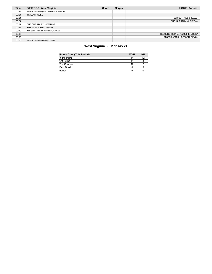| <b>Time</b> | <b>VISITORS: West Virginia</b>   | <b>Score</b> | <b>Margin</b> | <b>HOME: Kansas</b>              |
|-------------|----------------------------------|--------------|---------------|----------------------------------|
| 00:29       | REBOUND (DEF) by TSHIEBWE, OSCAR |              |               |                                  |
| 00:24       | TIMEOUT 30SEC                    |              |               |                                  |
| 00:24       |                                  |              |               | SUB OUT: MOSS, ISAIAH            |
| 00:24       |                                  |              |               | SUB IN: BRAUN, CHRISTIAN         |
| 00:24       | SUB OUT: HALEY, JERMAINE         |              |               |                                  |
| 00:24       | SUB IN: MCCABE, JORDAN           |              |               |                                  |
| 00:10       | MISSED 3PTR by HARLER, CHASE     |              |               |                                  |
| 00:07       |                                  |              |               | REBOUND (DEF) by AZUBUIKE, UDOKA |
| 00:03       |                                  |              |               | MISSED 3PTR by DOTSON, DEVON     |
| 00:00       | REBOUND (DEADB) by TEAM          |              |               |                                  |

## **West Virginia 30, Kansas 24**

| <b>Points from (This Period)</b> | <b>WVU</b> | κu |
|----------------------------------|------------|----|
| In the Paint                     | 14         | 12 |
| Off Turns                        | 14         |    |
| 2nd Chance                       | 10         |    |
| <b>Fast Break</b>                |            |    |
| Bench                            |            |    |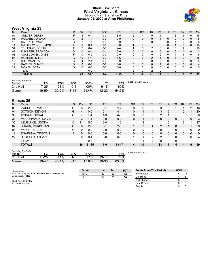#### **Official Box Score West Virginia vs Kansas Second Half Statistics Only January 04, 2020 at Allen Fieldhouse**



# **West Virginia 23**

| No. | Player                      | S | Pts             | FG       | 3FG     | <b>FT</b> | <b>OR</b> | <b>DR</b>      | TR            | PF | A            | <b>TO</b> | <b>Blk</b> | Stl | Min            |
|-----|-----------------------------|---|-----------------|----------|---------|-----------|-----------|----------------|---------------|----|--------------|-----------|------------|-----|----------------|
| 01  | <b>CULVER, DEREK</b>        |   | 3               | $0 - 1$  | $0-0$   | $3-5$     | 5         |                |               |    |              |           |            |     | 15             |
| 05  | MCCABE, JORDAN              | G | $\overline{2}$  | $1 - 1$  | $0-0$   | $0-0$     | 0         | 0              | 0             |    | 0            |           | 0          | 0   | 5              |
| 10  | HALEY, JERMAINE             | G | 2               | $1 - 1$  | $0-0$   | $0-0$     | 0         | 0              | 0             | n  |              |           |            | 0   | 8              |
| 11  | <b>MATTHEWS JR., EMMITT</b> |   | 0               | $0 - 4$  | $0 - 1$ | $0-0$     |           | $\Omega$       |               | 0  | 0            |           | 0          | 0   | 15             |
| 34  | TSHIEBWE, OSCAR             |   | 2               | $0 - 2$  | $0-0$   | $2 - 4$   |           | 6              |               | 3  |              |           |            |     | 18             |
| 02  | KNAPPER, BRANDON            | G | 0               | $0 - 1$  | $0 - 1$ | $0-0$     | 0         | $\Omega$       | 0             | 0  | 0            |           | 0          | 0   | $\overline{2}$ |
| 03  | OSABUOHIEN, GABE            |   |                 | $0 - 0$  | $0-0$   | $0-0$     | 0         | 0              |               |    |              |           |            |     | 6              |
| 04  | MCBRIDE, MILES              | G | 10 <sup>°</sup> | $3 - 10$ | $0 - 2$ | $4 - 6$   | 0         | $\overline{2}$ | $\mathcal{P}$ |    |              |           |            |     | 15             |
| 12  | SHERMAN, TAZ                | G | 4               | $2 - 4$  | $0-0$   | $0-0$     | 0         | 0              | <sup>0</sup>  | ົ  |              |           | 0          |     | 5              |
| 14  | HARLER, CHASE               | G | 0               | $0 - 1$  | $0-0$   | $0-0$     | 0         | $\Omega$       | <sup>0</sup>  |    | 0            |           | 0          | 0   | 4              |
| 22  | MCNEIL, SEAN                | G | 0               | $0 - 0$  | $0-0$   | $0-0$     | 0         | $\Omega$       |               |    | <sup>0</sup> |           | 0          |     | 5              |
|     | <b>TEAM</b>                 |   |                 | 0-0      |         |           |           |                | ◠             |    |              |           |            |     |                |
|     | <b>TOTALS</b>               |   | 23              | $7 - 25$ | $0 - 4$ | $9 - 15$  | 9         | $12 \,$        | 21            | 11 |              | g         | 3          | 2   | 99             |

#### *Shooting By Period*

| <b>Shooting By Period</b> |       |       |          |       |           |       | Last FG Half: WVU - |
|---------------------------|-------|-------|----------|-------|-----------|-------|---------------------|
| Period                    | FG    | FG%   | 3FG      | 3FG%  |           | FT%   |                     |
| 2nd Half                  | 7-25  | 28%   | ∩-4      | 00%   | 9-15      | 60%   |                     |
| Game                      | 19-59 | 32.2% | $3 - 14$ | 21.4% | $12 - 22$ | 54.5% |                     |

## **Kansas 36**

| No. | Player                  | S | Pts      | FG        | 3FG     | <b>FT</b> | <b>OR</b> | <b>DR</b> | <b>TR</b>     | <b>PF</b> | A            | TO | <b>Blk</b> | Stl          | Min      |
|-----|-------------------------|---|----------|-----------|---------|-----------|-----------|-----------|---------------|-----------|--------------|----|------------|--------------|----------|
| 00  | <b>GARRETT, MARCUS</b>  | G | 6        | $2 - 5$   | $0 - 1$ | $2 - 2$   |           | 0         |               | 3         | 3            |    |            | າ            | 16       |
| 01  | DOTSON, DEVON           | G | 4        | $0-6$     | $0 - 1$ | $4 - 4$   | 0         |           |               | 3         | າ            |    | 0          |              | 20       |
| 30  | AGBAJI, OCHAI           | G |          | 1-4       | $1 - 3$ | $4-6$     |           | 0         |               | າ         |              |    | 0          |              | 20       |
| 33  | MCCORMACK, DAVID        | F | 2        | $1 - 1$   | $0-0$   | $0-0$     | 0         |           |               | 0         | 0            |    | 0          | 0            | -3       |
| 35  | AZUBUIKE, UDOKA         | С | 11       | $5-5$     | $0-0$   | $1 - 2$   |           | 3         | 4             |           | U            |    | 3          |              | 17       |
| 02  | <b>BRAUN, CHRISTIAN</b> | G | 6        | $2 - 3$   | $0 - 1$ | $2-3$     |           | 3         | 4             |           |              |    | 0          |              | 20       |
| 04  | MOSS, ISAIAH            | G | 0        | $0 - 0$   | $0-0$   | $0-0$     |           | 0         | 0             |           | U            | U  | 0          | <sup>0</sup> | 0        |
| 13  | <b>ENARUNA, TRISTAN</b> | F | $\Omega$ | $0-0$     | $0-0$   | $0-0$     | 0         | 0         | $\Omega$      | O.        | 0            | U  | 0          | 0            | $\Omega$ |
| 22  | DESOUSA, SILVIO         | F |          | $0 - 1$   | $0-0$   | $0-0$     |           | и         | $\mathcal{P}$ | 2         | <sup>0</sup> |    | 0          |              | 4        |
|     | TEAM                    |   |          | $0-0$     |         |           |           |           | າ             |           |              |    |            |              |          |
|     | <b>TOTALS</b>           |   | 36       | $11 - 25$ | $1 - 6$ | $13 - 17$ | 4         | 10        | 14            | 13        |              |    | 4          | 6            | 99       |
|     |                         |   |          |           |         |           |           |           |               |           |              |    |            |              |          |

| <b>Shooting By Period</b><br>Period | FG        | FG%   | 3FG      | 3FG%  |       | FT%   | Last FG Half: KU - |
|-------------------------------------|-----------|-------|----------|-------|-------|-------|--------------------|
| 2nd Half                            | $11 - 25$ | 44%   | 1-6      | 17%   | 13-17 | 76%   |                    |
| Game                                | 19-47     | 40.4% | $3 - 17$ | 17.6% | 19-30 | 63.3% |                    |

| Game Notes:                                         | <b>Score</b> | 1st | 2 <sub>nd</sub> | <b>TOT</b> | <b>Points from (This Period)</b> | WVU KU |    |
|-----------------------------------------------------|--------------|-----|-----------------|------------|----------------------------------|--------|----|
| Officials: Doug Sirmons, Keith Kimble, Chance Moore | <b>WVU</b>   | 30  | 23              | 53         | In the Paint                     |        | 18 |
| Attendance: 16300                                   | ΚU           | 24  | 36              | 60         | Off Turns                        |        |    |
| Start Time: 09:00 PM                                |              |     |                 |            | 2nd Chance                       |        |    |
| Conference Game;                                    |              |     |                 |            | Fast Break                       |        |    |
|                                                     |              |     |                 |            | Bench                            |        |    |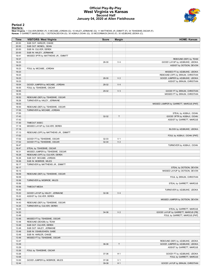#### **Official Play-By-Play West Virginia vs Kansas Second Half January 04, 2020 at Allen Fieldhouse**



# **Period 2**

<mark>Starters<u>:</u></u><br>West Virginia: 1 CULVER,DEREK (F); 5 MCCABE,JORDAN (G); 10 HALEY,JERMAINE (G); 11 MATTHEWS JR.,EMMITT (F); 34 TSHIEBWE,OSCAR (F);<br>**Kansas**: 0 GARRETT,MARCUS (G); 1 DOTSON,DEVON (G); 30 AGBAJI,OCHAI (G); 33 MC</mark>

| Time           | <b>VISITORS: West Virginia</b>        | <b>Score</b>   | <b>Margin</b>                    | <b>HOME: Kansas</b>                                                 |
|----------------|---------------------------------------|----------------|----------------------------------|---------------------------------------------------------------------|
| 20:00          | SUB OUT: HARLER, CHASE                |                |                                  |                                                                     |
| 20:00          | SUB OUT: MCNEIL, SEAN                 |                |                                  |                                                                     |
| 20:00          | SUB IN: CULVER, DEREK                 |                |                                  |                                                                     |
| 20:00          | SUB IN: HALEY, JERMAINE               |                |                                  |                                                                     |
| 19:41          | MISSED 3PTR by MATTHEWS JR., EMMITT   |                |                                  |                                                                     |
| 19:37          |                                       |                |                                  | REBOUND (DEF) by TEAM                                               |
| 19:23          |                                       | 26-30          | V <sub>4</sub>                   | GOOD! LAYUP by AZUBUIKE, UDOKA                                      |
| 19:23          |                                       |                |                                  | ASSIST by DOTSON, DEVON                                             |
| 19:23          | FOUL by MCCABE, JORDAN                |                |                                  |                                                                     |
| 19:23          |                                       |                |                                  | MISSED FT by AZUBUIKE, UDOKA                                        |
| 19:23          |                                       |                |                                  | REBOUND (OFF) by BRAUN, CHRISTIAN                                   |
| 19:23          |                                       | 28-30          | V <sub>2</sub>                   | GOOD! JUMPER by AZUBUIKE, UDOKA                                     |
| 19:23          |                                       |                |                                  | ASSIST by BRAUN, CHRISTIAN                                          |
| 19:04          | GOOD! JUMPER by MCCABE, JORDAN        | 28-32          | V <sub>4</sub>                   |                                                                     |
| 18:55          | FOUL by TSHIEBWE, OSCAR               |                |                                  |                                                                     |
| 18:55          |                                       | 29-32          | $V_3$                            | GOOD! FT by BRAUN, CHRISTIAN                                        |
| 18:55          |                                       |                |                                  | MISSED FT by BRAUN, CHRISTIAN                                       |
| 18:52          | REBOUND (DEF) by TSHIEBWE, OSCAR      |                |                                  |                                                                     |
| 18:26          | TURNOVER by HALEY, JERMAINE           |                |                                  |                                                                     |
| 18:03          |                                       |                |                                  | MISSED JUMPER by GARRETT, MARCUS [PNT]                              |
| 18:00          | REBOUND (DEF) by TSHIEBWE, OSCAR      |                |                                  |                                                                     |
| 17:55          | TURNOVER by MCCABE, JORDAN            |                |                                  |                                                                     |
| 17:55          |                                       |                |                                  | STEAL by AGBAJI, OCHAI                                              |
| 17:43          |                                       | 32-32          | $\top$                           | GOOD! 3PTR by AGBAJI, OCHAI                                         |
| 17:43          |                                       |                |                                  | ASSIST by GARRETT, MARCUS                                           |
| 17:30          | TIMEOUT 30SEC                         |                |                                  |                                                                     |
| 17:18          | MISSED LAYUP by CULVER, DEREK         |                |                                  |                                                                     |
| 17:18          |                                       |                |                                  | BLOCK by AZUBUIKE, UDOKA                                            |
| 17:13          | REBOUND (OFF) by MATTHEWS JR., EMMITT |                |                                  |                                                                     |
| 17:02          |                                       |                |                                  | FOUL by AGBAJI, OCHAI [PNT]                                         |
| 17:02          | GOOD! FT by TSHIEBWE, OSCAR           | 32-33<br>32-34 | V <sub>1</sub><br>V <sub>2</sub> |                                                                     |
| 17:02<br>16:47 | GOOD! FT by TSHIEBWE, OSCAR           |                |                                  | TURNOVER by AGBAJI, OCHAI                                           |
| 16:47          | STEAL by TSHIEBWE, OSCAR              |                |                                  |                                                                     |
| 16:31          | MISSED JUMPER by TSHIEBWE, OSCAR      |                |                                  |                                                                     |
| 16:28          | REBOUND (OFF) by CULVER, DEREK        |                |                                  |                                                                     |
| 16:26          | SUB OUT: MCCABE, JORDAN               |                |                                  |                                                                     |
| 16:26          | SUB IN: MCBRIDE, MILES                |                |                                  |                                                                     |
| 16:17          | TURNOVER by MATTHEWS JR., EMMITT      |                |                                  |                                                                     |
| 16:17          |                                       |                |                                  | STEAL by DOTSON, DEVON                                              |
| 16:13          |                                       |                |                                  | MISSED LAYUP by DOTSON, DEVON                                       |
| 16:09          | REBOUND (DEF) by TSHIEBWE, OSCAR      |                |                                  |                                                                     |
| 16:09          |                                       |                |                                  | FOUL by BRAUN, CHRISTIAN                                            |
| 15:56          | TURNOVER by MCBRIDE, MILES            |                |                                  |                                                                     |
| 15:56          |                                       |                |                                  | STEAL by GARRETT, MARCUS                                            |
| 15:56          | <b>TIMEOUT MEDIA</b>                  |                |                                  |                                                                     |
| 15:40          |                                       |                |                                  | TURNOVER by AZUBUIKE, UDOKA                                         |
| 15:22          | GOOD! LAYUP by HALEY, JERMAINE        | 32-36          | V <sub>4</sub>                   |                                                                     |
| 15:22          | ASSIST by CULVER, DEREK               |                |                                  |                                                                     |
| 14:45          |                                       |                |                                  | MISSED JUMPER by DOTSON, DEVON                                      |
| 14:43          | REBOUND (DEF) by TSHIEBWE, OSCAR      |                |                                  |                                                                     |
| 14:25          | TURNOVER by CULVER, DEREK             |                |                                  |                                                                     |
| 14:25          |                                       |                |                                  | STEAL by GARRETT, MARCUS                                            |
| 14:20          |                                       | 34-36          | V <sub>2</sub>                   | GOOD! LAYUP by GARRETT, MARCUS [FB]                                 |
| 13:48          |                                       |                |                                  | FOUL by GARRETT, MARCUS [PNT]                                       |
| 13:48          | MISSED FT by TSHIEBWE, OSCAR          |                |                                  |                                                                     |
| 13:48          | REBOUND (DEADB) by TEAM               |                |                                  |                                                                     |
| 13:48          | SUB OUT: CULVER, DEREK                |                |                                  |                                                                     |
| 13:48          | SUB OUT: HALEY, JERMAINE              |                |                                  |                                                                     |
| 13:48          | SUB IN: OSABUOHIEN, GABE              |                |                                  |                                                                     |
| 13:48          | SUB IN: HARLER, CHASE                 |                |                                  |                                                                     |
| 13:48          | MISSED FT by TSHIEBWE, OSCAR          |                |                                  |                                                                     |
| 13:47<br>13:29 |                                       | 36-36          | $\top$                           | REBOUND (DEF) by AZUBUIKE, UDOKA<br>GOOD! JUMPER by AZUBUIKE, UDOKA |
|                |                                       |                |                                  | ASSIST by GARRETT, MARCUS                                           |
| 13:29<br>13:26 | FOUL by TSHIEBWE, OSCAR               |                |                                  |                                                                     |
| 13:26          |                                       | 37-36          | H1                               | GOOD! FT by AZUBUIKE, UDOKA                                         |
| 13:08          |                                       |                |                                  | FOUL by GARRETT, MARCUS                                             |
| 13:00          | GOOD! JUMPER by MCBRIDE, MILES        | 37-38          | V <sub>1</sub>                   |                                                                     |
| 12:44          |                                       | 39-38          | H1                               | GOOD! LAYUP by BRAUN, CHRISTIAN                                     |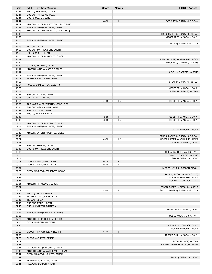| Time           | <b>VISITORS: West Virginia</b>                                         | <b>Score</b> | <b>Margin</b>  | <b>HOME: Kansas</b>               |
|----------------|------------------------------------------------------------------------|--------------|----------------|-----------------------------------|
| 12:44          | FOUL by TSHIEBWE, OSCAR                                                |              |                |                                   |
| 12:44          | SUB OUT: TSHIEBWE, OSCAR                                               |              |                |                                   |
| 12:44          | SUB IN: CULVER, DEREK                                                  |              |                |                                   |
| 12:44<br>12:21 | MISSED JUMPER by MATTHEWS JR., EMMITT                                  | 40-38        | H <sub>2</sub> | GOOD! FT by BRAUN, CHRISTIAN      |
| 12:17          | REBOUND (OFF) by CULVER, DEREK                                         |              |                |                                   |
| 12:16          | MISSED JUMPER by MCBRIDE, MILES [PNT]                                  |              |                |                                   |
| 12:12          |                                                                        |              |                | REBOUND (DEF) by BRAUN, CHRISTIAN |
| 11:58          |                                                                        |              |                | MISSED 3PTR by AGBAJI, OCHAI      |
| 11:56          | REBOUND (DEF) by CULVER, DEREK                                         |              |                |                                   |
| 11:56          |                                                                        |              |                | FOUL by BRAUN, CHRISTIAN          |
| 11:56          | <b>TIMEOUT MEDIA</b>                                                   |              |                |                                   |
| 11:56          | SUB OUT: MATTHEWS JR., EMMITT                                          |              |                |                                   |
| 11:56<br>11:35 | SUB IN: MCNEIL, SEAN                                                   |              |                |                                   |
| 11:32          | MISSED JUMPER by HARLER, CHASE                                         |              |                | REBOUND (DEF) by AZUBUIKE, UDOKA  |
| 11:19          |                                                                        |              |                | TURNOVER by GARRETT, MARCUS       |
| 11:19          | STEAL by MCBRIDE, MILES                                                |              |                |                                   |
| 11:14          | MISSED LAYUP by MCBRIDE, MILES                                         |              |                |                                   |
| 11:14          |                                                                        |              |                | BLOCK by GARRETT, MARCUS          |
| 11:09          | REBOUND (OFF) by CULVER, DEREK                                         |              |                |                                   |
| 11:08          | TURNOVER by CULVER, DEREK                                              |              |                |                                   |
| 11:08<br>10:57 | FOUL by OSABUOHIEN, GABE [PNT]                                         |              |                | STEAL by BRAUN, CHRISTIAN         |
| 10:57          |                                                                        |              |                | MISSED FT by AGBAJI, OCHAI        |
| 10:57          |                                                                        |              |                | REBOUND (DEADB) by TEAM           |
| 10:57          | SUB OUT: CULVER, DEREK                                                 |              |                |                                   |
| 10:57          | SUB IN: TSHIEBWE, OSCAR                                                |              |                |                                   |
| 10:57          |                                                                        | 41-38        | $H_3$          | GOOD! FT by AGBAJI, OCHAI         |
| 10:35          | TURNOVER by OSABUOHIEN, GABE [PNT]                                     |              |                |                                   |
| 10:35          | SUB OUT: OSABUOHIEN, GABE                                              |              |                |                                   |
| 10:35<br>10:18 | SUB IN: CULVER, DEREK                                                  |              |                |                                   |
| 10:18          | FOUL by HARLER, CHASE                                                  | 42-38        | H <sub>4</sub> | GOOD! FT by AGBAJI, OCHAI         |
| 10:18          |                                                                        | 43-38        | H <sub>5</sub> | GOOD! FT by AGBAJI, OCHAI         |
| 09:59          | MISSED JUMPER by MCBRIDE, MILES                                        |              |                |                                   |
| 09:57          | REBOUND (OFF) by CULVER, DEREK                                         |              |                |                                   |
| 09:57          |                                                                        |              |                | FOUL by AZUBUIKE, UDOKA           |
| 09:49          | MISSED JUMPER by MCBRIDE, MILES                                        |              |                |                                   |
| 09:46          |                                                                        |              |                | REBOUND (DEF) by BRAUN, CHRISTIAN |
| 09:31          |                                                                        | 45-38        | H7             | GOOD! JUMPER by AZUBUIKE, UDOKA   |
| 09:31<br>09:18 | SUB OUT: HARLER, CHASE                                                 |              |                | ASSIST by AGBAJI, OCHAI           |
| 09:18          | SUB IN: MATTHEWS JR., EMMITT                                           |              |                |                                   |
| 09:08          |                                                                        |              |                | FOUL by GARRETT, MARCUS [PNT]     |
| 09:08          |                                                                        |              |                | SUB OUT: GARRETT, MARCUS          |
| 09:08          |                                                                        |              |                | SUB IN: DESOUSA, SILVIO           |
| 09:08          | GOOD! FT by CULVER, DEREK                                              | 45-39        | H <sub>6</sub> |                                   |
| 09:08<br>09:04 | GOOD! FT by CULVER, DEREK                                              | 45-40        | H <sub>5</sub> | MISSED LAYUP by DOTSON, DEVON     |
| 09:00          | REBOUND (DEF) by TSHIEBWE, OSCAR                                       |              |                |                                   |
| 08:34          |                                                                        |              |                | FOUL by DESOUSA, SILVIO [PNT]     |
| 08:34          |                                                                        |              |                | SUB OUT: AZUBUIKE, UDOKA          |
| 08:34          |                                                                        |              |                | SUB IN: MCCORMACK, DAVID          |
| 08:34          | MISSED FT by CULVER, DEREK                                             |              |                |                                   |
| 08:31          |                                                                        |              |                | REBOUND (DEF) by DESOUSA, SILVIO  |
| 08:09          |                                                                        | 47-40        | H7             | GOOD! JUMPER by BRAUN, CHRISTIAN  |
| 07:45<br>07:45 | FOUL by CULVER, DEREK<br>TURNOVER by CULVER, DEREK                     |              |                |                                   |
| 07:45          | TIMEOUT MEDIA                                                          |              |                |                                   |
| 07:45          | SUB OUT: MCNEIL, SEAN                                                  |              |                |                                   |
| 07:45          | SUB IN: KNAPPER, BRANDON                                               |              |                |                                   |
| 07:26          |                                                                        |              |                | MISSED 3PTR by AGBAJI, OCHAI      |
| 07:22          | REBOUND (DEF) by MCBRIDE, MILES                                        |              |                |                                   |
| 07:20          |                                                                        |              |                | FOUL by AGBAJI, OCHAI [PNT]       |
| 07:20          | MISSED FT by MCBRIDE, MILES [FB]                                       |              |                |                                   |
| 07:20<br>07:20 | REBOUND (DEADB) by TEAM                                                |              |                | SUB OUT: MCCORMACK, DAVID         |
| 07:20          |                                                                        |              |                | SUB IN: AZUBUIKE, UDOKA           |
| 07:20          | GOOD! FT by MCBRIDE, MILES [FB]                                        | 47-41        | H <sub>6</sub> |                                   |
| 07:08          |                                                                        |              |                | MISSED DUNK by AGBAJI, OCHAI      |
| 07:08          | BLOCK by CULVER, DEREK                                                 |              |                |                                   |
| 07:04          |                                                                        |              |                | REBOUND (OFF) by TEAM             |
| 06:51          |                                                                        |              |                | MISSED JUMPER by DOTSON, DEVON    |
| 06:47          | REBOUND (DEF) by CULVER, DEREK                                         |              |                |                                   |
| 06:43<br>06:41 | MISSED LAYUP by MATTHEWS JR., EMMITT<br>REBOUND (OFF) by CULVER, DEREK |              |                |                                   |
| 06:41          |                                                                        |              |                | FOUL by DESOUSA, SILVIO           |
| 06:41          | MISSED FT by CULVER, DEREK                                             |              |                |                                   |
| 06:41          | REBOUND (DEADB) by TEAM                                                |              |                |                                   |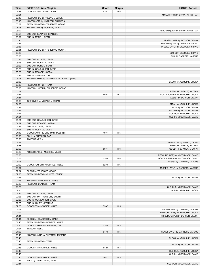| <b>Time</b>    | <b>VISITORS: West Virginia</b>                             | <b>Score</b> | <b>Margin</b>  | <b>HOME: Kansas</b>                                              |
|----------------|------------------------------------------------------------|--------------|----------------|------------------------------------------------------------------|
| 06:41          | GOOD! FT by CULVER, DEREK                                  | 47-42        | H <sub>5</sub> |                                                                  |
| 06:21          |                                                            |              |                | MISSED 3PTR by BRAUN, CHRISTIAN                                  |
| 06:18          | REBOUND (DEF) by CULVER, DEREK                             |              |                |                                                                  |
| 06:15          | MISSED 3PTR by KNAPPER, BRANDON                            |              |                |                                                                  |
| 06:07          | REBOUND (OFF) by TSHIEBWE, OSCAR                           |              |                |                                                                  |
| 06:06          | MISSED 3PTR by MCBRIDE, MILES                              |              |                |                                                                  |
| 06:02          |                                                            |              |                | REBOUND (DEF) by BRAUN, CHRISTIAN                                |
| 05:57          | SUB OUT: KNAPPER, BRANDON                                  |              |                |                                                                  |
| 05:57          | SUB IN: MCNEIL, SEAN                                       |              |                |                                                                  |
| 05:45<br>05:42 |                                                            |              |                | MISSED 3PTR by DOTSON, DEVON<br>REBOUND (OFF) by DESOUSA, SILVIO |
| 05:35          |                                                            |              |                | MISSED LAYUP by DESOUSA, SILVIO                                  |
| 05:31          | REBOUND (DEF) by TSHIEBWE, OSCAR                           |              |                |                                                                  |
| 05:23          |                                                            |              |                | SUB OUT: DESOUSA, SILVIO                                         |
| 05:23          |                                                            |              |                | SUB IN: GARRETT, MARCUS                                          |
| 05:23          | SUB OUT: CULVER, DEREK                                     |              |                |                                                                  |
| 05:23          | SUB OUT: MCBRIDE, MILES                                    |              |                |                                                                  |
| 05:23          | SUB OUT: MCNEIL, SEAN                                      |              |                |                                                                  |
| 05:23          | SUB IN: OSABUOHIEN, GABE                                   |              |                |                                                                  |
| 05:23          | SUB IN: MCCABE, JORDAN                                     |              |                |                                                                  |
| 05:23          | SUB IN: SHERMAN, TAZ                                       |              |                |                                                                  |
| 05:08          | MISSED LAYUP by MATTHEWS JR., EMMITT [PNT]                 |              |                |                                                                  |
| 05:08          |                                                            |              |                | BLOCK by AZUBUIKE, UDOKA                                         |
| 05:05          | REBOUND (OFF) by TEAM                                      |              |                |                                                                  |
| 05:03          | MISSED JUMPER by TSHIEBWE, OSCAR                           |              |                |                                                                  |
| 05:02          |                                                            |              |                | REBOUND (DEADB) by TEAM                                          |
| 04:44          |                                                            | 49-42        | H 7            | GOOD! JUMPER by AZUBUIKE, UDOKA                                  |
| 04:44          |                                                            |              |                | ASSIST by DOTSON, DEVON                                          |
| 04:30          | TURNOVER by MCCABE, JORDAN                                 |              |                |                                                                  |
| 04:30          |                                                            |              |                | STEAL by AZUBUIKE, UDOKA                                         |
| 04:24<br>04:24 |                                                            |              |                | FOUL by DOTSON, DEVON<br>TURNOVER by DOTSON, DEVON               |
| 04:24          |                                                            |              |                | SUB OUT: AZUBUIKE, UDOKA                                         |
| 04:24          |                                                            |              |                | SUB IN: MCCORMACK, DAVID                                         |
| 04:24          | SUB OUT: OSABUOHIEN, GABE                                  |              |                |                                                                  |
| 04:24          | SUB OUT: MCCABE, JORDAN                                    |              |                |                                                                  |
| 04:24          | SUB IN: CULVER, DEREK                                      |              |                |                                                                  |
| 04:24          | SUB IN: MCBRIDE, MILES                                     |              |                |                                                                  |
| 04:13          | GOOD! LAYUP by SHERMAN, TAZ [PNT]                          | 49-44        | H <sub>5</sub> |                                                                  |
| 03:58          | FOUL by SHERMAN, TAZ                                       |              |                |                                                                  |
| 03:58          | <b>TIMEOUT MEDIA</b>                                       |              |                |                                                                  |
| 03:58          |                                                            |              |                | MISSED FT by AGBAJI, OCHAI                                       |
| 03:58          |                                                            |              |                | REBOUND (DEADB) by TEAM                                          |
| 03:58          |                                                            | 50-44        | H <sub>6</sub> | GOOD! FT by AGBAJI, OCHAI                                        |
| 03:29          | MISSED 3PTR by MCBRIDE, MILES                              |              |                |                                                                  |
| 03:26          |                                                            |              |                | REBOUND (DEF) by MCCORMACK, DAVID                                |
| 03:08          |                                                            | 52-44        | H 8            | GOOD! JUMPER by MCCORMACK, DAVID                                 |
| 03:08          |                                                            |              |                | ASSIST by GARRETT, MARCUS                                        |
| 02:52          | GOOD! JUMPER by MCBRIDE, MILES                             | 52-46        | H <sub>6</sub> |                                                                  |
| 02:34          |                                                            |              |                | MISSED LAYUP by GARRETT, MARCUS                                  |
| 02:34<br>02:30 | BLOCK by TSHIEBWE, OSCAR<br>REBOUND (DEF) by CULVER, DEREK |              |                |                                                                  |
| 02:25          |                                                            |              |                | FOUL by DOTSON, DEVON                                            |
| 02:25          | MISSED FT by MCBRIDE, MILES                                |              |                |                                                                  |
| 02:25          | REBOUND (DEADB) by TEAM                                    |              |                |                                                                  |
| 02:25          |                                                            |              |                | SUB OUT: MCCORMACK, DAVID                                        |
| 02:25          |                                                            |              |                | SUB IN: AZUBUIKE, UDOKA                                          |
| 02:25          | SUB OUT: CULVER, DEREK                                     |              |                |                                                                  |
| 02:25          | SUB OUT: MATTHEWS JR., EMMITT                              |              |                |                                                                  |
| 02:25          | SUB IN: OSABUOHIEN, GABE                                   |              |                |                                                                  |
| 02:25          | SUB IN: HALEY, JERMAINE                                    |              |                |                                                                  |
| 02:25          | GOOD! FT by MCBRIDE, MILES                                 | 52-47        | H <sub>5</sub> |                                                                  |
| 02:07          |                                                            |              |                | MISSED 3PTR by GARRETT, MARCUS                                   |
| 02:02          |                                                            |              |                | REBOUND (OFF) by AZUBUIKE, UDOKA                                 |
| 01:44          |                                                            |              |                | MISSED JUMPER by DOTSON, DEVON                                   |
| 01:44          | BLOCK by OSABUOHIEN, GABE                                  |              |                |                                                                  |
| 01:40          | REBOUND (DEF) by MCBRIDE, MILES                            |              |                |                                                                  |
| 01:30          | GOOD! JUMPER by SHERMAN, TAZ                               | 52-49        | $H_3$          |                                                                  |
| 01:27          | TIMEOUT 30SEC                                              |              |                |                                                                  |
| 01:03          |                                                            | 54-49        | H <sub>5</sub> | GOOD! LAYUP by GARRETT, MARCUS                                   |
| 00:46          | MISSED LAYUP by SHERMAN, TAZ [PNT]                         |              |                |                                                                  |
| 00:46          |                                                            |              |                | BLOCK by AZUBUIKE, UDOKA                                         |
| 00:46          | REBOUND (OFF) by TEAM                                      |              |                |                                                                  |
| 00:45          |                                                            |              |                | FOUL by DOTSON, DEVON                                            |
| 00:45          | GOOD! FT by MCBRIDE, MILES                                 | 54-50        | H 4            |                                                                  |
| 00:45          |                                                            |              |                | SUB OUT: AZUBUIKE, UDOKA                                         |
| 00:45<br>00:45 | GOOD! FT by MCBRIDE, MILES                                 | 54-51        | $H_3$          | SUB IN: MCCORMACK, DAVID                                         |
| 00:44          | FOUL by OSABUOHIEN, GABE                                   |              |                |                                                                  |
| 00:44          |                                                            |              |                | SUB OUT: MCCORMACK, DAVID                                        |
|                |                                                            |              |                |                                                                  |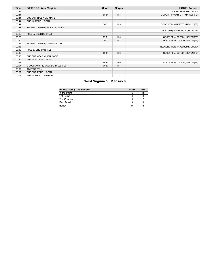| Time  | <b>VISITORS: West Virginia</b>     | <b>Score</b> | <b>Margin</b>  | <b>HOME: Kansas</b>              |
|-------|------------------------------------|--------------|----------------|----------------------------------|
| 00:44 |                                    |              |                | SUB IN: AZUBUIKE, UDOKA          |
| 00:44 |                                    | 55-51        | H <sub>4</sub> | GOOD! FT by GARRETT, MARCUS [FB] |
| 00:44 | SUB OUT: HALEY, JERMAINE           |              |                |                                  |
| 00:44 | SUB IN: MCNEIL, SEAN               |              |                |                                  |
| 00:44 |                                    | 56-51        | H <sub>5</sub> | GOOD! FT by GARRETT, MARCUS [FB] |
| 00:33 | MISSED JUMPER by MCBRIDE, MILES    |              |                |                                  |
| 00:29 |                                    |              |                | REBOUND (DEF) by DOTSON, DEVON   |
| 00:26 | FOUL by MCBRIDE, MILES             |              |                |                                  |
| 00:26 |                                    | 57-51        | H <sub>6</sub> | GOOD! FT by DOTSON, DEVON [FB]   |
| 00:26 |                                    | 58-51        | H <sub>7</sub> | GOOD! FT by DOTSON, DEVON [FB]   |
| 00:19 | MISSED JUMPER by SHERMAN, TAZ      |              |                |                                  |
| 00:15 |                                    |              |                | REBOUND (DEF) by AZUBUIKE, UDOKA |
| 00:13 | FOUL by SHERMAN, TAZ               |              |                |                                  |
| 00:13 |                                    | 59-51        | H <sub>8</sub> | GOOD! FT by DOTSON, DEVON [FB]   |
| 00:13 | SUB OUT: OSABUOHIEN, GABE          |              |                |                                  |
| 00:13 | SUB IN: CULVER, DEREK              |              |                |                                  |
| 00:13 |                                    | 60-51        | H9             | GOOD! FT by DOTSON, DEVON [FB]   |
| 00:07 | GOOD! LAYUP by MCBRIDE, MILES [FB] | 60-53        | H <sub>7</sub> |                                  |
| 00:07 | <b>TIMEOUT TEAM</b>                |              |                |                                  |
| 00:07 | SUB OUT: MCNEIL, SEAN              |              |                |                                  |
| 00:07 | SUB IN: HALEY, JERMAINE            |              |                |                                  |

# **West Virginia 53, Kansas 60**

| Points from (This Period) | <b>WVU</b> | κu |
|---------------------------|------------|----|
| In the Paint              |            | 18 |
| Off Turns                 |            |    |
| 2nd Chance                |            |    |
| Fast Break                |            |    |
| Bench                     | 14         |    |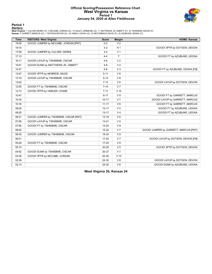#### **Official Scoring/Possession Reference Chart West Virginia vs Kansas Period 1 January 04, 2020 at Allen Fieldhouse**



## **Period 1**

<mark>Starters<u>:</u></u><br>West Virginia: 1 CULVER,DEREK (F); 5 MCCABE,JORDAN (G); 10 HALEY,JERMAINE (G); 11 MATTHEWS JR.,EMMITT (F); 34 TSHIEBWE,OSCAR (F);<br>**Kansas**: 0 GARRETT,MARCUS (G); 1 DOTSON,DEVON (G); 30 AGBAJI,OCHAI (G); 33 MC</mark>

| <b>Time</b> | <b>VISITORS: West Virginia</b>        | <b>Score</b> | <b>Margin</b>  | <b>HOME: Kansas</b>                   |
|-------------|---------------------------------------|--------------|----------------|---------------------------------------|
| 19:09       | GOOD! JUMPER by MCCABE, JORDAN [PNT]  | $0 - 2$      | V <sub>2</sub> |                                       |
| 18:15       |                                       | $3 - 2$      | H <sub>1</sub> | GOOD! 3PTR by DOTSON, DEVON           |
| 17:59       | GOOD! JUMPER by CULVER, DEREK         | $3 - 4$      | V <sub>1</sub> |                                       |
| 17:13       |                                       | $4 - 4$      | T              | GOOD! FT by AZUBUIKE, UDOKA           |
| 16:17       | GOOD! LAYUP by TSHIEBWE, OSCAR        | $4 - 6$      | V <sub>2</sub> |                                       |
| 15:51       | GOOD! DUNK by MATTHEWS JR., EMMITT    | $4 - 8$      | V <sub>4</sub> |                                       |
| 14:27       |                                       | $5-8$        | V <sub>3</sub> | GOOD! FT by AZUBUIKE, UDOKA [FB]      |
| 13:47       | GOOD! 3PTR by MCBRIDE, MILES          | $5 - 11$     | $V_6$          |                                       |
| 13:19       | GOOD! LAYUP by TSHIEBWE, OSCAR        | $5 - 13$     | V8             |                                       |
| 13:02       |                                       | $7 - 13$     | $V_6$          | GOOD! LAYUP by DOTSON, DEVON          |
| 12:50       | GOOD! FT by TSHIEBWE, OSCAR           | $7 - 14$     | V <sub>7</sub> |                                       |
| 12:13       | GOOD! 3PTR by HARLER, CHASE           | $7 - 17$     | $V$ 10         |                                       |
| 10:47       |                                       | $8 - 17$     | V <sub>9</sub> | GOOD! FT by GARRETT, MARCUS           |
| 10:16       |                                       | $10 - 17$    | V <sub>7</sub> | GOOD! LAYUP by GARRETT, MARCUS        |
| 10:16       |                                       | $11 - 17$    | $V_6$          | GOOD! FT by GARRETT, MARCUS           |
| 09:25       |                                       | $12 - 17$    | V <sub>5</sub> | GOOD! FT by AZUBUIKE, UDOKA           |
| 09:25       |                                       | $13 - 17$    | V <sub>4</sub> | GOOD! FT by AZUBUIKE, UDOKA           |
| 08:31       | GOOD! JUMPER by TSHIEBWE, OSCAR [PNT] | $13 - 19$    | $V_6$          |                                       |
| 07:56       | GOOD! LAYUP by TSHIEBWE, OSCAR        | $13 - 21$    | V8             |                                       |
| 07:56       | GOOD! FT by TSHIEBWE, OSCAR           | 13-22        | V <sub>9</sub> |                                       |
| 06:52       |                                       | $15 - 22$    | V <sub>7</sub> | GOOD! JUMPER by GARRETT, MARCUS [PNT] |
| 06:35       | GOOD! JUMPER by TSHIEBWE, OSCAR       | $15 - 24$    | V <sub>9</sub> |                                       |
| 06:01       |                                       | $17 - 24$    | V <sub>7</sub> | GOOD! LAYUP by DOTSON, DEVON [FB]     |
| 05:28       | GOOD! FT by TSHIEBWE, OSCAR           | $17 - 25$    | V8             |                                       |
| 05:10       |                                       | $20 - 25$    | V <sub>5</sub> | GOOD! 3PTR by DOTSON, DEVON           |
| 04:52       | GOOD! DUNK by TSHIEBWE, OSCAR         | $20 - 27$    | V <sub>7</sub> |                                       |
| 03:36       | GOOD! 3PTR by MCCABE, JORDAN          | $20 - 30$    | $V$ 10         |                                       |
| 02:39       |                                       | 22-30        | V8             | GOOD! LAYUP by DOTSON, DEVON          |
| 02:13       |                                       | 24-30        | $V_6$          | GOOD! DUNK by AZUBUIKE, UDOKA         |

**West Virginia 30, Kansas 24**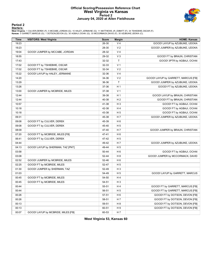#### **Official Scoring/Possession Reference Chart West Virginia vs Kansas Period 2 January 04, 2020 at Allen Fieldhouse**



# **Period 2**

<mark>Starters<u>:</u></u><br>West Virginia: 1 CULVER,DEREK (F); 5 MCCABE,JORDAN (G); 10 HALEY,JERMAINE (G); 11 MATTHEWS JR.,EMMITT (F); 34 TSHIEBWE,OSCAR (F);<br>**Kansas**: 0 GARRETT,MARCUS (G); 1 DOTSON,DEVON (G); 30 AGBAJI,OCHAI (G); 33 MC</mark>

| <b>Time</b> | <b>VISITORS: West Virginia</b>     | <b>Score</b> | <b>Margin</b>  | <b>HOME: Kansas</b>                 |
|-------------|------------------------------------|--------------|----------------|-------------------------------------|
| 19:23       |                                    | 26-30        | V <sub>4</sub> | GOOD! LAYUP by AZUBUIKE, UDOKA      |
| 19:23       |                                    | 28-30        | V <sub>2</sub> | GOOD! JUMPER by AZUBUIKE, UDOKA     |
| 19:04       | GOOD! JUMPER by MCCABE, JORDAN     | 28-32        | V <sub>4</sub> |                                     |
| 18:55       |                                    | 29-32        | V <sub>3</sub> | GOOD! FT by BRAUN, CHRISTIAN        |
| 17:43       |                                    | 32-32        | $\mathsf T$    | GOOD! 3PTR by AGBAJI, OCHAI         |
| 17:02       | GOOD! FT by TSHIEBWE, OSCAR        | 32-33        | V <sub>1</sub> |                                     |
| 17:02       | GOOD! FT by TSHIEBWE, OSCAR        | 32-34        | V <sub>2</sub> |                                     |
| 15:22       | GOOD! LAYUP by HALEY, JERMAINE     | 32-36        | V <sub>4</sub> |                                     |
| 14:20       |                                    | 34-36        | V <sub>2</sub> | GOOD! LAYUP by GARRETT, MARCUS [FB] |
| 13:29       |                                    | 36-36        | $\mathsf{T}$   | GOOD! JUMPER by AZUBUIKE, UDOKA     |
| 13:26       |                                    | 37-36        | H <sub>1</sub> | GOOD! FT by AZUBUIKE, UDOKA         |
| 13:00       | GOOD! JUMPER by MCBRIDE, MILES     | 37-38        | V <sub>1</sub> |                                     |
| 12:44       |                                    | 39-38        | H <sub>1</sub> | GOOD! LAYUP by BRAUN, CHRISTIAN     |
| 12:44       |                                    | 40-38        | H <sub>2</sub> | GOOD! FT by BRAUN, CHRISTIAN        |
| 10:57       |                                    | 41-38        | $H_3$          | GOOD! FT by AGBAJI, OCHAI           |
| 10:18       |                                    | 42-38        | H 4            | GOOD! FT by AGBAJI, OCHAI           |
| 10:18       |                                    | 43-38        | H <sub>5</sub> | GOOD! FT by AGBAJI, OCHAI           |
| 09:31       |                                    | 45-38        | H 7            | GOOD! JUMPER by AZUBUIKE, UDOKA     |
| 09:08       | GOOD! FT by CULVER, DEREK          | 45-39        | H <sub>6</sub> |                                     |
| 09:08       | GOOD! FT by CULVER, DEREK          | 45-40        | H <sub>5</sub> |                                     |
| 08:09       |                                    | 47-40        | H <sub>7</sub> | GOOD! JUMPER by BRAUN, CHRISTIAN    |
| 07:20       | GOOD! FT by MCBRIDE, MILES [FB]    | 47-41        | H <sub>6</sub> |                                     |
| 06:41       | GOOD! FT by CULVER, DEREK          | 47-42        | H <sub>5</sub> |                                     |
| 04:44       |                                    | 49-42        | H 7            | GOOD! JUMPER by AZUBUIKE, UDOKA     |
| 04:13       | GOOD! LAYUP by SHERMAN, TAZ [PNT]  | 49-44        | H <sub>5</sub> |                                     |
| 03:58       |                                    | 50-44        | H <sub>6</sub> | GOOD! FT by AGBAJI, OCHAI           |
| 03:08       |                                    | 52-44        | H <sub>8</sub> | GOOD! JUMPER by MCCORMACK, DAVID    |
| 02:52       | GOOD! JUMPER by MCBRIDE, MILES     | 52-46        | H <sub>6</sub> |                                     |
| 02:25       | GOOD! FT by MCBRIDE, MILES         | 52-47        | H <sub>5</sub> |                                     |
| 01:30       | GOOD! JUMPER by SHERMAN, TAZ       | 52-49        | $H_3$          |                                     |
| 01:03       |                                    | 54-49        | H <sub>5</sub> | GOOD! LAYUP by GARRETT, MARCUS      |
| 00:45       | GOOD! FT by MCBRIDE, MILES         | 54-50        | H4             |                                     |
| 00:45       | GOOD! FT by MCBRIDE, MILES         | 54-51        | $H_3$          |                                     |
| 00:44       |                                    | 55-51        | H4             | GOOD! FT by GARRETT, MARCUS [FB]    |
| 00:44       |                                    | 56-51        | H <sub>5</sub> | GOOD! FT by GARRETT, MARCUS [FB]    |
| 00:26       |                                    | 57-51        | H <sub>6</sub> | GOOD! FT by DOTSON, DEVON [FB]      |
| 00:26       |                                    | 58-51        | H 7            | GOOD! FT by DOTSON, DEVON [FB]      |
| 00:13       |                                    | 59-51        | H <sub>8</sub> | GOOD! FT by DOTSON, DEVON [FB]      |
| 00:13       |                                    | 60-51        | H9             | GOOD! FT by DOTSON, DEVON [FB]      |
| 00:07       | GOOD! LAYUP by MCBRIDE, MILES [FB] | 60-53        | H 7            |                                     |

**West Virginia 53, Kansas 60**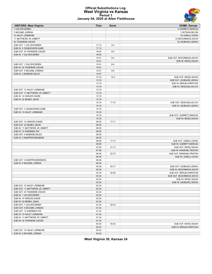#### **Official Substitutions Log West Virginia vs Kansas Period 1 January 04, 2020 at Allen Fieldhouse**



| <b>VISITORS: West Virginia</b>   | Time           | <b>Score</b> | <b>HOME: Kansas</b>       |
|----------------------------------|----------------|--------------|---------------------------|
| 1 CULVER, DEREK                  |                |              | 0 GARRETT, MARCUS         |
| 5 MCCABE, JORDAN                 |                |              | 1 DOTSON, DEVON           |
| 10 HALEY, JERMAINE               |                |              | 30 AGBAJI, OCHAI          |
| 11 MATTHEWS JR., EMMITT          |                |              | 33 MCCORMACK, DAVID       |
| 34 TSHIEBWE, OSCAR               |                |              | 35 AZUBUIKE, UDOKA        |
| SUB OUT: 1 CULVER, DEREK         | 17:13          | $4 - 3$      |                           |
| SUB IN: 3 OSABUOHIEN, GABE       | 17:13          |              |                           |
| SUB OUT: 34 TSHIEBWE, OSCAR      | 16:04          | $6 - 4$      |                           |
| SUB IN: 1 CULVER, DEREK          | 16:04          |              |                           |
|                                  | 15:21          | $8 - 4$      | SUB OUT: MCCORMACK, DAVID |
|                                  | 15:21          |              | SUB IN: MOSS, ISAIAH      |
| SUB OUT: 1 CULVER, DEREK         | 15:01          | $8 - 4$      |                           |
| SUB IN: 34 TSHIEBWE, OSCAR       | 15:01          |              |                           |
| SUB OUT: 5 MCCABE, JORDAN        | 14:27          | $8 - 5$      |                           |
| SUB IN: 4 MCBRIDE, MILES         | 14:27          |              |                           |
|                                  | 13:19          | $13 - 5$     | SUB OUT: MOSS, ISAIAH     |
|                                  | 13:19          |              | SUB OUT: AZUBUIKE, UDOKA  |
|                                  | 13:19          |              | SUB IN: BRAUN, CHRISTIAN  |
|                                  | 13:19          |              | SUB IN: DESOUSA, SILVIO   |
| SUB OUT: 10 HALEY, JERMAINE      | 13:19          |              |                           |
| SUB OUT: 11 MATTHEWS JR., EMMITT | 13:19          |              |                           |
| SUB IN: 14 HARLER, CHASE         | 13:19          |              |                           |
| SUB IN: 22 MCNEIL, SEAN          | 13:19          |              |                           |
|                                  | 10:16          | $17 - 10$    | SUB OUT: DESOUSA, SILVIO  |
|                                  | 10:16          |              | SUB IN: AZUBUIKE, UDOKA   |
| SUB OUT: 3 OSABUOHIEN, GABE      |                |              |                           |
|                                  | 10:16<br>10:16 |              |                           |
| SUB IN: 10 HALEY, JERMAINE       |                |              |                           |
|                                  | 10:16          |              | SUB OUT: GARRETT, MARCUS  |
|                                  | 10:16          |              | SUB IN: MOSS, ISAIAH      |
| SUB OUT: 14 HARLER, CHASE        | 09:25          | $17 - 11$    |                           |
| SUB OUT: 22 MCNEIL, SEAN         | 09:25          |              |                           |
| SUB IN: 11 MATTHEWS JR., EMMITT  | 09:25          |              |                           |
| SUB IN: 12 SHERMAN, TAZ          | 09:25          |              |                           |
| SUB OUT: 4 MCBRIDE, MILES        | 09:25          |              |                           |
| SUB IN: 2 KNAPPER, BRANDON       | 09:25          |              |                           |
|                                  | 09:00          | $17 - 13$    | SUB OUT: AGBAJI, OCHAI    |
|                                  | 09:00          |              | SUB IN: GARRETT, MARCUS   |
|                                  | 07:56          | $21 - 13$    | SUB OUT: MOSS, ISAIAH     |
|                                  | 07:56          |              | SUB IN: ENARUNA, TRISTAN  |
|                                  | 06:46          | $22 - 15$    | SUB OUT: ENARUNA, TRISTAN |
|                                  | 06:46          |              | SUB IN: AGBAJI, OCHAI     |
| SUB OUT: 2 KNAPPER, BRANDON      | 06:46          |              |                           |
| SUB IN: 5 MCCABE, JORDAN         | 06:46          |              |                           |
|                                  | 05:28          | $24 - 17$    | SUB OUT: AZUBUIKE, UDOKA  |
|                                  | 05:28          |              | SUB IN: MCCORMACK, DAVID  |
|                                  | 03:34          | $30 - 20$    | SUB OUT: BRAUN, CHRISTIAN |
|                                  | 03:34          |              | SUB OUT: MCCORMACK, DAVID |
|                                  | 03:34          |              | SUB IN: MOSS, ISAIAH      |
|                                  | 03:34          |              | SUB IN: AZUBUIKE, UDOKA   |
| SUB OUT: 10 HALEY, JERMAINE      | 03:34          |              |                           |
| SUB OUT: 11 MATTHEWS JR., EMMITT | 03:34          |              |                           |
| SUB OUT: 34 TSHIEBWE, OSCAR      | 03:34          |              |                           |
| SUB IN: 1 CULVER, DEREK          | 03:34          |              |                           |
| SUB IN: 14 HARLER, CHASE         | 03:34          |              |                           |
| SUB IN: 22 MCNEIL, SEAN          | 03:34          |              |                           |
| SUB OUT: 1 CULVER, DEREK         | 01:34          | 30-24        |                           |
| SUB OUT: 5 MCCABE, JORDAN        | 01:34          |              |                           |
| SUB OUT: 12 SHERMAN, TAZ         | 01:34          |              |                           |
| SUB IN: 10 HALEY, JERMAINE       | 01:34          |              |                           |
| SUB IN: 11 MATTHEWS JR., EMMITT  | 01:34          |              |                           |
| SUB IN: 34 TSHIEBWE, OSCAR       | 01:34          |              |                           |
|                                  | 00:24          | 30-24        | SUB OUT: MOSS, ISAIAH     |
|                                  | 00:24          |              | SUB IN: BRAUN, CHRISTIAN  |
| SUB OUT: 10 HALEY, JERMAINE      | 00:24          |              |                           |
| SUB IN: 5 MCCABE, JORDAN         | 00:24          |              |                           |
|                                  |                |              |                           |

**West Virginia 30, Kansas 24**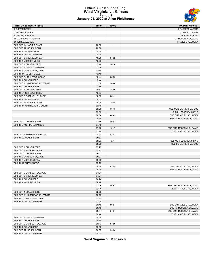#### **Official Substitutions Log West Virginia vs Kansas Period 2 January 04, 2020 at Allen Fieldhouse**



| <b>VISITORS: West Virginia</b>   | Time  | Score | <b>HOME: Kansas</b>       |
|----------------------------------|-------|-------|---------------------------|
| 1 CULVER, DEREK                  |       |       | 0 GARRETT, MARCUS         |
| 5 MCCABE, JORDAN                 |       |       | 1 DOTSON, DEVON           |
| 10 HALEY, JERMAINE               |       |       | 30 AGBAJI, OCHAI          |
| 11 MATTHEWS JR., EMMITT          |       |       | 33 MCCORMACK, DAVID       |
| 34 TSHIEBWE, OSCAR               |       |       | 35 AZUBUIKE, UDOKA        |
| SUB OUT: 14 HARLER, CHASE        | 20:00 |       |                           |
| SUB OUT: 22 MCNEIL, SEAN         | 20:00 |       |                           |
| SUB IN: 1 CULVER, DEREK          | 20:00 |       |                           |
|                                  |       |       |                           |
| SUB IN: 10 HALEY, JERMAINE       | 20:00 |       |                           |
| SUB OUT: 5 MCCABE, JORDAN        | 16:26 | 34-32 |                           |
| SUB IN: 4 MCBRIDE, MILES         | 16:26 |       |                           |
| SUB OUT: 1 CULVER, DEREK         | 13:48 | 36-34 |                           |
| SUB OUT: 10 HALEY, JERMAINE      | 13:48 |       |                           |
| SUB IN: 3 OSABUOHIEN, GABE       | 13:48 |       |                           |
| SUB IN: 14 HARLER, CHASE         | 13:48 |       |                           |
| SUB OUT: 34 TSHIEBWE, OSCAR      | 12:44 | 38-39 |                           |
| SUB IN: 1 CULVER, DEREK          | 12:44 |       |                           |
| SUB OUT: 11 MATTHEWS JR., EMMITT | 11:56 | 38-40 |                           |
| SUB IN: 22 MCNEIL, SEAN          | 11:56 |       |                           |
| SUB OUT: 1 CULVER, DEREK         | 10:57 | 38-40 |                           |
| SUB IN: 34 TSHIEBWE.OSCAR        | 10:57 |       |                           |
| SUB OUT: 3 OSABUOHIEN, GABE      | 10:35 | 38-41 |                           |
| SUB IN: 1 CULVER, DEREK          | 10:35 |       |                           |
| SUB OUT: 14 HARLER, CHASE        | 09:18 | 38-45 |                           |
|                                  |       |       |                           |
| SUB IN: 11 MATTHEWS JR., EMMITT  | 09:18 |       |                           |
|                                  | 09:08 | 38-45 | SUB OUT: GARRETT, MARCUS  |
|                                  | 09:08 |       | SUB IN: DESOUSA, SILVIO   |
|                                  | 08:34 | 40-45 | SUB OUT: AZUBUIKE, UDOKA  |
|                                  | 08:34 |       | SUB IN: MCCORMACK, DAVID  |
| SUB OUT: 22 MCNEIL, SEAN         | 07:45 | 40-47 |                           |
| SUB IN: 2 KNAPPER, BRANDON       | 07:45 |       |                           |
|                                  | 07:20 | 40-47 | SUB OUT: MCCORMACK, DAVID |
|                                  | 07:20 |       | SUB IN: AZUBUIKE, UDOKA   |
| SUB OUT: 2 KNAPPER, BRANDON      | 05:57 | 42-47 |                           |
| SUB IN: 22 MCNEIL, SEAN          | 05:57 |       |                           |
|                                  | 05:23 | 42-47 | SUB OUT: DESOUSA, SILVIO  |
|                                  | 05:23 |       | SUB IN: GARRETT, MARCUS   |
| SUB OUT: 1 CULVER, DEREK         | 05:23 |       |                           |
| SUB OUT: 4 MCBRIDE, MILES        | 05:23 |       |                           |
| SUB OUT: 22 MCNEIL, SEAN         | 05:23 |       |                           |
|                                  |       |       |                           |
| SUB IN: 3 OSABUOHIEN, GABE       | 05:23 |       |                           |
| SUB IN: 5 MCCABE, JORDAN         | 05:23 |       |                           |
| SUB IN: 12 SHERMAN, TAZ          | 05:23 |       |                           |
|                                  | 04:24 | 42-49 | SUB OUT: AZUBUIKE, UDOKA  |
|                                  | 04:24 |       | SUB IN: MCCORMACK, DAVID  |
| SUB OUT: 3 OSABUOHIEN, GABE      | 04:24 |       |                           |
| SUB OUT: 5 MCCABE.JORDAN         | 04:24 |       |                           |
| SUB IN: 1 CULVER, DEREK          | 04:24 |       |                           |
| SUB IN: 4 MCBRIDE, MILES         | 04:24 |       |                           |
|                                  | 02:25 | 46-52 | SUB OUT: MCCORMACK, DAVID |
|                                  | 02:25 |       | SUB IN: AZUBUIKE, UDOKA   |
| SUB OUT: 1 CULVER, DEREK         | 02:25 |       |                           |
| SUB OUT: 11 MATTHEWS JR., EMMITT | 02:25 |       |                           |
| SUB IN: 3 OSABUOHIEN.GABE        | 02:25 |       |                           |
| SUB IN: 10 HALEY, JERMAINE       | 02:25 |       |                           |
|                                  | 00:45 | 50-54 | SUB OUT: AZUBUIKE, UDOKA  |
|                                  |       |       |                           |
|                                  | 00:45 |       | SUB IN: MCCORMACK, DAVID  |
|                                  | 00:44 | 51-54 | SUB OUT: MCCORMACK, DAVID |
|                                  | 00:44 |       | SUB IN: AZUBUIKE, UDOKA   |
| SUB OUT: 10 HALEY, JERMAINE      | 00:44 |       |                           |
| SUB IN: 22 MCNEIL, SEAN          | 00:44 |       |                           |
| SUB OUT: 3 OSABUOHIEN, GABE      | 00:13 | 51-59 |                           |
| SUB IN: 1 CULVER, DEREK          | 00:13 |       |                           |
| SUB OUT: 22 MCNEIL, SEAN         | 00:07 | 53-60 |                           |
| SUB IN: 10 HALEY, JERMAINE       | 00:07 |       |                           |

**West Virginia 53, Kansas 60**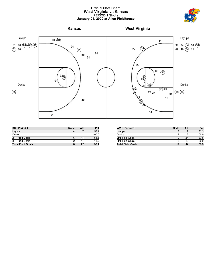#### **Official Shot Chart West Virginia vs Kansas PERIOD 1 Shots January 04, 2020 at Allen Fieldhouse**





| KU: Period 1             | Made | Att | Pct   |
|--------------------------|------|-----|-------|
| Layups                   |      |     | 57.1  |
| Dunks                    |      |     | 100.0 |
| 2PT Field Goals          | 6    |     | 54.5  |
| 3PT Field Goals          |      |     | 18.2  |
| <b>Total Field Goals</b> | 8    | 22  | 36.4  |

| <b>WVU: Period 1</b>     | Made | Att | Pct   |
|--------------------------|------|-----|-------|
| Layups                   |      |     | 33.3  |
| Dunks                    |      |     | 100.0 |
| 2PT Field Goals          |      | 24  | 37.5  |
| 3PT Field Goals          | ◠    | 10  | 30.0  |
| <b>Total Field Goals</b> | 12   | 34  | 35.3  |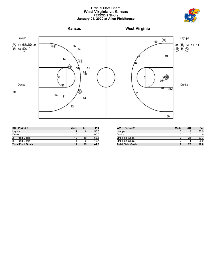#### **Official Shot Chart West Virginia vs Kansas PERIOD 2 Shots January 04, 2020 at Allen Fieldhouse**





| KU: Period 2             | Made | Att | Pct  |
|--------------------------|------|-----|------|
| Layups                   | 4    |     | 50.0 |
| <b>Dunks</b>             |      |     | 00.0 |
| 2PT Field Goals          | 10   | 19  | 52.6 |
| 3PT Field Goals          |      |     | 16.7 |
| <b>Total Field Goals</b> | 11   | 25  | 44.0 |

| <b>WVU: Period 2</b>     | <b>Made</b> | Att | Pct  |
|--------------------------|-------------|-----|------|
| Layups                   |             |     | 37.5 |
| Dunks                    |             |     |      |
| 2PT Field Goals          |             | 21  | 33.3 |
| 3PT Field Goals          |             |     | 00.0 |
| <b>Total Field Goals</b> |             | 25  | 28.0 |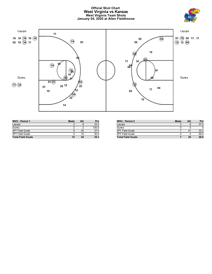#### **Official Shot Chart West Virginia vs Kansas West Virginia Team Shots January 04, 2020 at Allen Fieldhouse**





| WVU: Period 1            | <b>Made</b> | Att | Pct   |
|--------------------------|-------------|-----|-------|
| Layups                   |             |     | 33.3  |
| Dunks                    |             |     | 100.0 |
| 2PT Field Goals          | 9           | 24  | 37.5  |
| <b>3PT Field Goals</b>   | ີ           | 10  | 30.0  |
| <b>Total Field Goals</b> | 12          | 34  | 35.3  |

| <b>WVU</b> : Period 2    | <b>Made</b> | Att | Pct  |
|--------------------------|-------------|-----|------|
| Layups                   |             |     | 37.5 |
| Dunks                    |             |     |      |
| 2PT Field Goals          |             | 21  | 33.3 |
| 3PT Field Goals          |             |     | 00.0 |
| <b>Total Field Goals</b> |             | 25  | 28.0 |